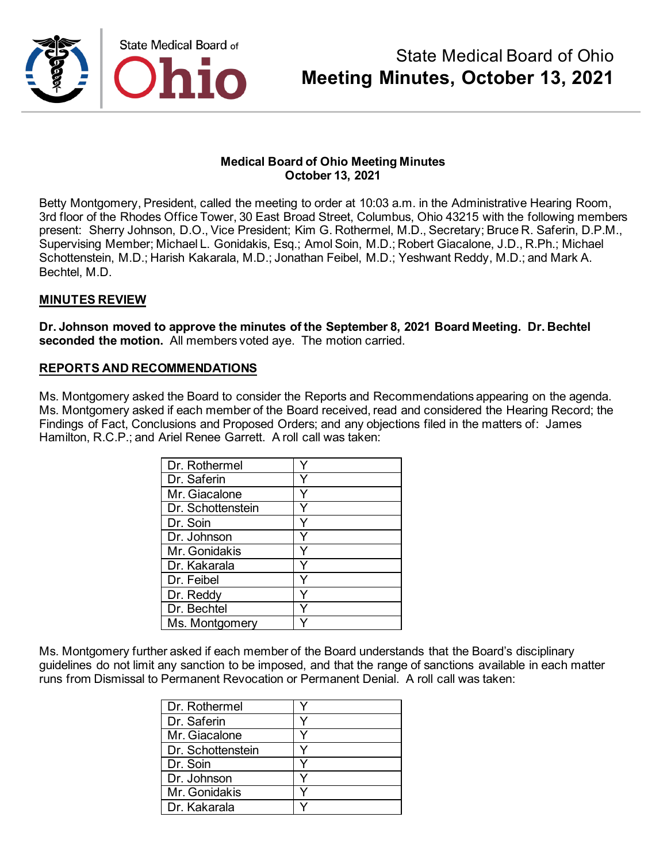

Betty Montgomery, President, called the meeting to order at 10:03 a.m. in the Administrative Hearing Room, 3rd floor of the Rhodes Office Tower, 30 East Broad Street, Columbus, Ohio 43215 with the following members present: Sherry Johnson, D.O., Vice President; Kim G. Rothermel, M.D., Secretary; Bruce R. Saferin, D.P.M., Supervising Member; Michael L. Gonidakis, Esq.; Amol Soin, M.D.; Robert Giacalone, J.D., R.Ph.; Michael Schottenstein, M.D.; Harish Kakarala, M.D.; Jonathan Feibel, M.D.; Yeshwant Reddy, M.D.; and Mark A. Bechtel, M.D.

### **MINUTES REVIEW**

**Dr. Johnson moved to approve the minutes of the September 8, 2021 Board Meeting. Dr. Bechtel seconded the motion.** All members voted aye. The motion carried.

### **REPORTS AND RECOMMENDATIONS**

Ms. Montgomery asked the Board to consider the Reports and Recommendations appearing on the agenda. Ms. Montgomery asked if each member of the Board received, read and considered the Hearing Record; the Findings of Fact, Conclusions and Proposed Orders; and any objections filed in the matters of: James Hamilton, R.C.P.; and Ariel Renee Garrett. A roll call was taken:

| Dr. Rothermel     |  |
|-------------------|--|
| Dr. Saferin       |  |
| Mr. Giacalone     |  |
| Dr. Schottenstein |  |
| Dr. Soin          |  |
| Dr. Johnson       |  |
| Mr. Gonidakis     |  |
| Dr. Kakarala      |  |
| Dr. Feibel        |  |
| Dr. Reddy         |  |
| Dr. Bechtel       |  |
| Ms. Montgomery    |  |

Ms. Montgomery further asked if each member of the Board understands that the Board's disciplinary guidelines do not limit any sanction to be imposed, and that the range of sanctions available in each matter runs from Dismissal to Permanent Revocation or Permanent Denial. A roll call was taken:

| Dr. Rothermel     |  |
|-------------------|--|
| Dr. Saferin       |  |
| Mr. Giacalone     |  |
| Dr. Schottenstein |  |
| Dr. Soin          |  |
| Dr. Johnson       |  |
| Mr. Gonidakis     |  |
| Dr. Kakarala      |  |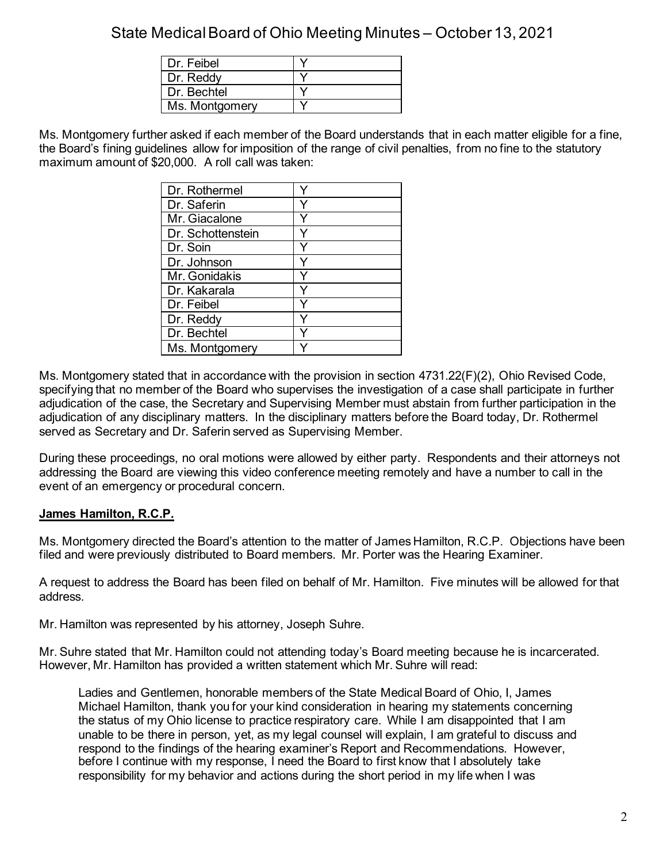| Dr. Feibel     |  |
|----------------|--|
| Dr. Reddy      |  |
| Dr. Bechtel    |  |
| Ms. Montgomery |  |

Ms. Montgomery further asked if each member of the Board understands that in each matter eligible for a fine, the Board's fining guidelines allow for imposition of the range of civil penalties, from no fine to the statutory maximum amount of \$20,000. A roll call was taken:

| Dr. Rothermel     |   |
|-------------------|---|
| Dr. Saferin       |   |
| Mr. Giacalone     |   |
| Dr. Schottenstein |   |
| Dr. Soin          |   |
| Dr. Johnson       | Y |
| Mr. Gonidakis     |   |
| Dr. Kakarala      |   |
| Dr. Feibel        |   |
| Dr. Reddy         | Y |
| Dr. Bechtel       |   |
| Ms. Montgomery    |   |

Ms. Montgomery stated that in accordance with the provision in section 4731.22(F)(2), Ohio Revised Code, specifying that no member of the Board who supervises the investigation of a case shall participate in further adjudication of the case, the Secretary and Supervising Member must abstain from further participation in the adjudication of any disciplinary matters. In the disciplinary matters before the Board today, Dr. Rothermel served as Secretary and Dr. Saferin served as Supervising Member.

During these proceedings, no oral motions were allowed by either party. Respondents and their attorneys not addressing the Board are viewing this video conference meeting remotely and have a number to call in the event of an emergency or procedural concern.

## **James Hamilton, R.C.P.**

Ms. Montgomery directed the Board's attention to the matter of James Hamilton, R.C.P. Objections have been filed and were previously distributed to Board members. Mr. Porter was the Hearing Examiner.

A request to address the Board has been filed on behalf of Mr. Hamilton. Five minutes will be allowed for that address.

Mr. Hamilton was represented by his attorney, Joseph Suhre.

Mr. Suhre stated that Mr. Hamilton could not attending today's Board meeting because he is incarcerated. However, Mr. Hamilton has provided a written statement which Mr. Suhre will read:

Ladies and Gentlemen, honorable members of the State Medical Board of Ohio, I, James Michael Hamilton, thank you for your kind consideration in hearing my statements concerning the status of my Ohio license to practice respiratory care. While I am disappointed that I am unable to be there in person, yet, as my legal counsel will explain, I am grateful to discuss and respond to the findings of the hearing examiner's Report and Recommendations. However, before I continue with my response, I need the Board to first know that I absolutely take responsibility for my behavior and actions during the short period in my life when I was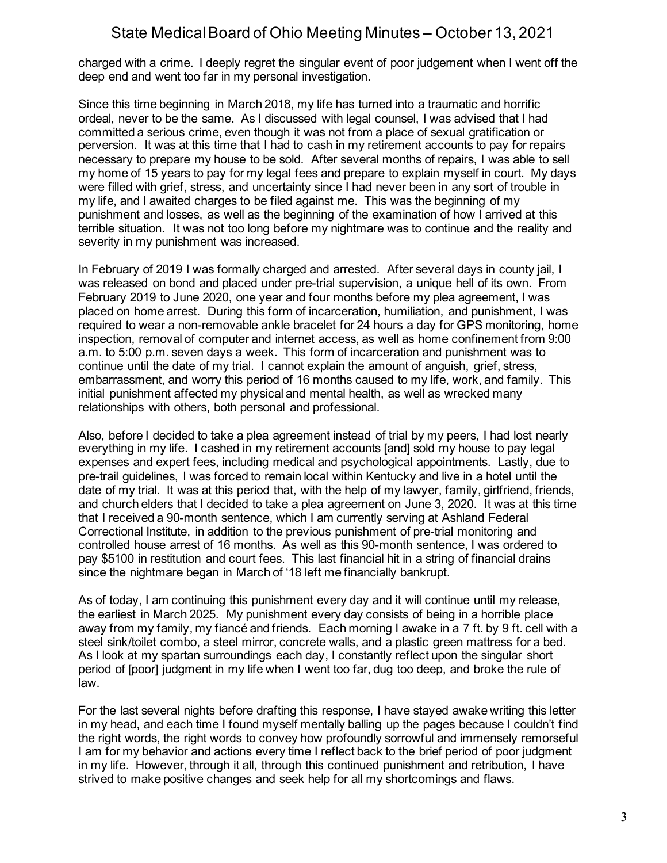charged with a crime. I deeply regret the singular event of poor judgement when I went off the deep end and went too far in my personal investigation.

Since this time beginning in March 2018, my life has turned into a traumatic and horrific ordeal, never to be the same. As I discussed with legal counsel, I was advised that I had committed a serious crime, even though it was not from a place of sexual gratification or perversion. It was at this time that I had to cash in my retirement accounts to pay for repairs necessary to prepare my house to be sold. After several months of repairs, I was able to sell my home of 15 years to pay for my legal fees and prepare to explain myself in court. My days were filled with grief, stress, and uncertainty since I had never been in any sort of trouble in my life, and I awaited charges to be filed against me. This was the beginning of my punishment and losses, as well as the beginning of the examination of how I arrived at this terrible situation. It was not too long before my nightmare was to continue and the reality and severity in my punishment was increased.

In February of 2019 I was formally charged and arrested. After several days in county jail, I was released on bond and placed under pre-trial supervision, a unique hell of its own. From February 2019 to June 2020, one year and four months before my plea agreement, I was placed on home arrest. During this form of incarceration, humiliation, and punishment, I was required to wear a non-removable ankle bracelet for 24 hours a day for GPS monitoring, home inspection, removal of computer and internet access, as well as home confinement from 9:00 a.m. to 5:00 p.m. seven days a week. This form of incarceration and punishment was to continue until the date of my trial. I cannot explain the amount of anguish, grief, stress, embarrassment, and worry this period of 16 months caused to my life, work, and family. This initial punishment affected my physical and mental health, as well as wrecked many relationships with others, both personal and professional.

Also, before I decided to take a plea agreement instead of trial by my peers, I had lost nearly everything in my life. I cashed in my retirement accounts [and] sold my house to pay legal expenses and expert fees, including medical and psychological appointments. Lastly, due to pre-trail guidelines, I was forced to remain local within Kentucky and live in a hotel until the date of my trial. It was at this period that, with the help of my lawyer, family, girlfriend, friends, and church elders that I decided to take a plea agreement on June 3, 2020. It was at this time that I received a 90-month sentence, which I am currently serving at Ashland Federal Correctional Institute, in addition to the previous punishment of pre-trial monitoring and controlled house arrest of 16 months. As well as this 90-month sentence, I was ordered to pay \$5100 in restitution and court fees. This last financial hit in a string of financial drains since the nightmare began in March of '18 left me financially bankrupt.

As of today, I am continuing this punishment every day and it will continue until my release, the earliest in March 2025. My punishment every day consists of being in a horrible place away from my family, my fiancé and friends. Each morning I awake in a 7 ft. by 9 ft. cell with a steel sink/toilet combo, a steel mirror, concrete walls, and a plastic green mattress for a bed. As I look at my spartan surroundings each day, I constantly reflect upon the singular short period of [poor] judgment in my life when I went too far, dug too deep, and broke the rule of law.

For the last several nights before drafting this response, I have stayed awake writing this letter in my head, and each time I found myself mentally balling up the pages because I couldn't find the right words, the right words to convey how profoundly sorrowful and immensely remorseful I am for my behavior and actions every time I reflect back to the brief period of poor judgment in my life. However, through it all, through this continued punishment and retribution, I have strived to make positive changes and seek help for all my shortcomings and flaws.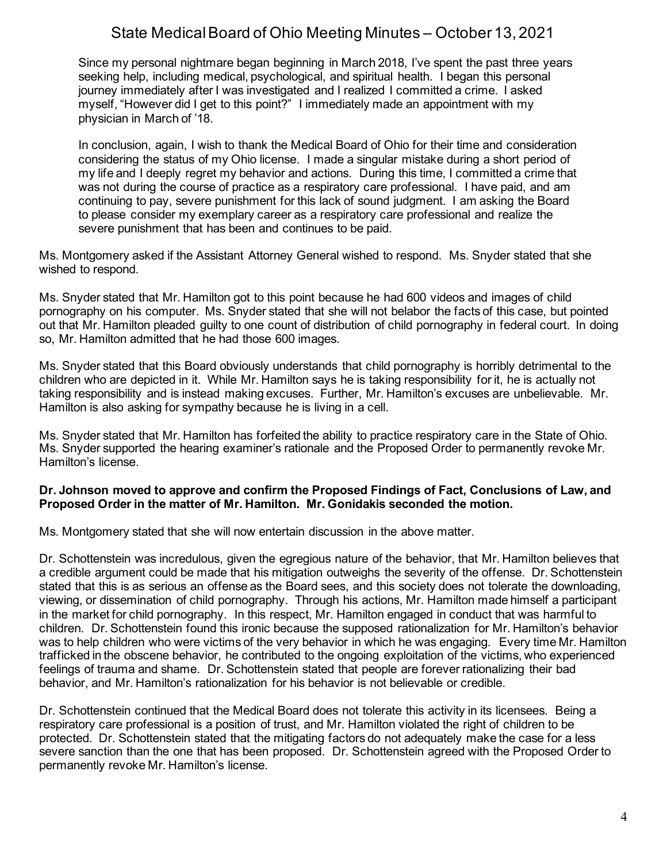Since my personal nightmare began beginning in March 2018, I've spent the past three years seeking help, including medical, psychological, and spiritual health. I began this personal journey immediately after I was investigated and I realized I committed a crime. I asked myself, "However did I get to this point?" I immediately made an appointment with my physician in March of '18.

In conclusion, again, I wish to thank the Medical Board of Ohio for their time and consideration considering the status of my Ohio license. I made a singular mistake during a short period of my life and I deeply regret my behavior and actions. During this time, I committed a crime that was not during the course of practice as a respiratory care professional. I have paid, and am continuing to pay, severe punishment for this lack of sound judgment. I am asking the Board to please consider my exemplary career as a respiratory care professional and realize the severe punishment that has been and continues to be paid.

Ms. Montgomery asked if the Assistant Attorney General wished to respond. Ms. Snyder stated that she wished to respond.

Ms. Snyder stated that Mr. Hamilton got to this point because he had 600 videos and images of child pornography on his computer. Ms. Snyder stated that she will not belabor the facts of this case, but pointed out that Mr. Hamilton pleaded guilty to one count of distribution of child pornography in federal court. In doing so, Mr. Hamilton admitted that he had those 600 images.

Ms. Snyder stated that this Board obviously understands that child pornography is horribly detrimental to the children who are depicted in it. While Mr. Hamilton says he is taking responsibility for it, he is actually not taking responsibility and is instead making excuses. Further, Mr. Hamilton's excuses are unbelievable. Mr. Hamilton is also asking for sympathy because he is living in a cell.

Ms. Snyder stated that Mr. Hamilton has forfeited the ability to practice respiratory care in the State of Ohio. Ms. Snyder supported the hearing examiner's rationale and the Proposed Order to permanently revoke Mr. Hamilton's license.

### **Dr. Johnson moved to approve and confirm the Proposed Findings of Fact, Conclusions of Law, and Proposed Order in the matter of Mr. Hamilton. Mr. Gonidakis seconded the motion.**

Ms. Montgomery stated that she will now entertain discussion in the above matter.

Dr. Schottenstein was incredulous, given the egregious nature of the behavior, that Mr. Hamilton believes that a credible argument could be made that his mitigation outweighs the severity of the offense. Dr. Schottenstein stated that this is as serious an offense as the Board sees, and this society does not tolerate the downloading, viewing, or dissemination of child pornography. Through his actions, Mr. Hamilton made himself a participant in the market for child pornography. In this respect, Mr. Hamilton engaged in conduct that was harmful to children. Dr. Schottenstein found this ironic because the supposed rationalization for Mr. Hamilton's behavior was to help children who were victims of the very behavior in which he was engaging. Every time Mr. Hamilton trafficked in the obscene behavior, he contributed to the ongoing exploitation of the victims, who experienced feelings of trauma and shame. Dr. Schottenstein stated that people are forever rationalizing their bad behavior, and Mr. Hamilton's rationalization for his behavior is not believable or credible.

Dr. Schottenstein continued that the Medical Board does not tolerate this activity in its licensees. Being a respiratory care professional is a position of trust, and Mr. Hamilton violated the right of children to be protected. Dr. Schottenstein stated that the mitigating factors do not adequately make the case for a less severe sanction than the one that has been proposed. Dr. Schottenstein agreed with the Proposed Order to permanently revoke Mr. Hamilton's license.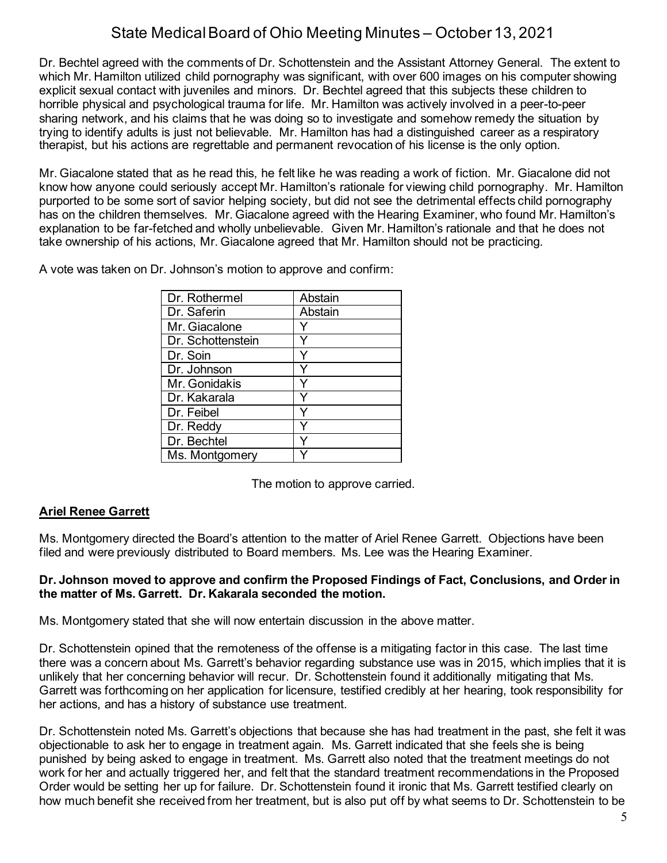Dr. Bechtel agreed with the comments of Dr. Schottenstein and the Assistant Attorney General. The extent to which Mr. Hamilton utilized child pornography was significant, with over 600 images on his computer showing explicit sexual contact with juveniles and minors. Dr. Bechtel agreed that this subjects these children to horrible physical and psychological trauma for life. Mr. Hamilton was actively involved in a peer-to-peer sharing network, and his claims that he was doing so to investigate and somehow remedy the situation by trying to identify adults is just not believable. Mr. Hamilton has had a distinguished career as a respiratory therapist, but his actions are regrettable and permanent revocation of his license is the only option.

Mr. Giacalone stated that as he read this, he felt like he was reading a work of fiction. Mr. Giacalone did not know how anyone could seriously accept Mr. Hamilton's rationale for viewing child pornography. Mr. Hamilton purported to be some sort of savior helping society, but did not see the detrimental effects child pornography has on the children themselves. Mr. Giacalone agreed with the Hearing Examiner, who found Mr. Hamilton's explanation to be far-fetched and wholly unbelievable. Given Mr. Hamilton's rationale and that he does not take ownership of his actions, Mr. Giacalone agreed that Mr. Hamilton should not be practicing.

A vote was taken on Dr. Johnson's motion to approve and confirm:

| Dr. Rothermel     | Abstain |
|-------------------|---------|
| Dr. Saferin       | Abstain |
| Mr. Giacalone     |         |
| Dr. Schottenstein |         |
| Dr. Soin          |         |
| Dr. Johnson       |         |
| Mr. Gonidakis     |         |
| Dr. Kakarala      |         |
| Dr. Feibel        |         |
| Dr. Reddy         |         |
| Dr. Bechtel       |         |
| Ms. Montgomery    |         |

The motion to approve carried.

## **Ariel Renee Garrett**

Ms. Montgomery directed the Board's attention to the matter of Ariel Renee Garrett. Objections have been filed and were previously distributed to Board members. Ms. Lee was the Hearing Examiner.

### **Dr. Johnson moved to approve and confirm the Proposed Findings of Fact, Conclusions, and Order in the matter of Ms. Garrett. Dr. Kakarala seconded the motion.**

Ms. Montgomery stated that she will now entertain discussion in the above matter.

Dr. Schottenstein opined that the remoteness of the offense is a mitigating factor in this case. The last time there was a concern about Ms. Garrett's behavior regarding substance use was in 2015, which implies that it is unlikely that her concerning behavior will recur. Dr. Schottenstein found it additionally mitigating that Ms. Garrett was forthcoming on her application for licensure, testified credibly at her hearing, took responsibility for her actions, and has a history of substance use treatment.

Dr. Schottenstein noted Ms. Garrett's objections that because she has had treatment in the past, she felt it was objectionable to ask her to engage in treatment again. Ms. Garrett indicated that she feels she is being punished by being asked to engage in treatment. Ms. Garrett also noted that the treatment meetings do not work for her and actually triggered her, and felt that the standard treatment recommendations in the Proposed Order would be setting her up for failure. Dr. Schottenstein found it ironic that Ms. Garrett testified clearly on how much benefit she received from her treatment, but is also put off by what seems to Dr. Schottenstein to be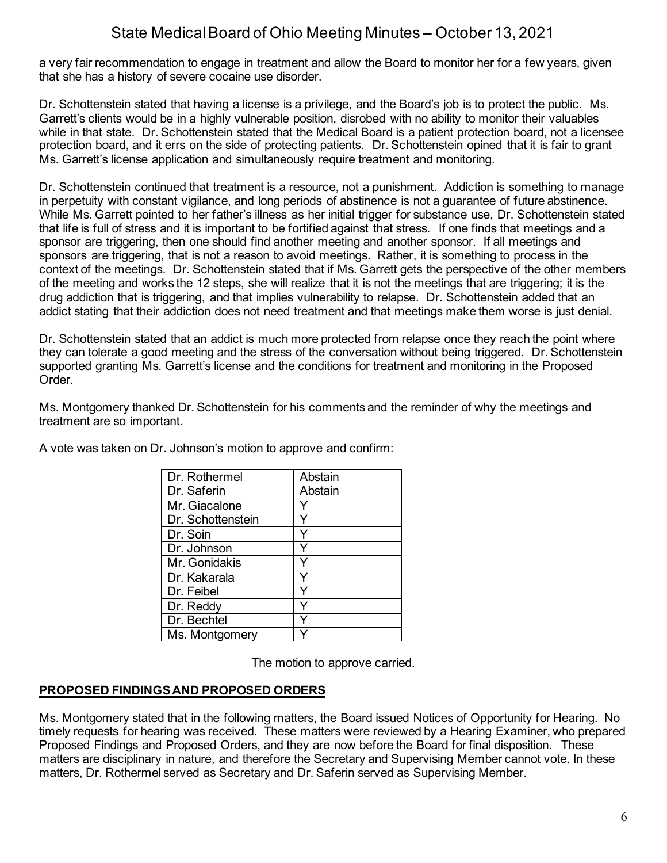a very fair recommendation to engage in treatment and allow the Board to monitor her for a few years, given that she has a history of severe cocaine use disorder.

Dr. Schottenstein stated that having a license is a privilege, and the Board's job is to protect the public. Ms. Garrett's clients would be in a highly vulnerable position, disrobed with no ability to monitor their valuables while in that state. Dr. Schottenstein stated that the Medical Board is a patient protection board, not a licensee protection board, and it errs on the side of protecting patients. Dr. Schottenstein opined that it is fair to grant Ms. Garrett's license application and simultaneously require treatment and monitoring.

Dr. Schottenstein continued that treatment is a resource, not a punishment. Addiction is something to manage in perpetuity with constant vigilance, and long periods of abstinence is not a guarantee of future abstinence. While Ms. Garrett pointed to her father's illness as her initial trigger for substance use, Dr. Schottenstein stated that life is full of stress and it is important to be fortified against that stress. If one finds that meetings and a sponsor are triggering, then one should find another meeting and another sponsor. If all meetings and sponsors are triggering, that is not a reason to avoid meetings. Rather, it is something to process in the context of the meetings. Dr. Schottenstein stated that if Ms. Garrett gets the perspective of the other members of the meeting and works the 12 steps, she will realize that it is not the meetings that are triggering; it is the drug addiction that is triggering, and that implies vulnerability to relapse. Dr. Schottenstein added that an addict stating that their addiction does not need treatment and that meetings make them worse is just denial.

Dr. Schottenstein stated that an addict is much more protected from relapse once they reach the point where they can tolerate a good meeting and the stress of the conversation without being triggered. Dr. Schottenstein supported granting Ms. Garrett's license and the conditions for treatment and monitoring in the Proposed Order.

Ms. Montgomery thanked Dr. Schottenstein for his comments and the reminder of why the meetings and treatment are so important.

| Dr. Rothermel       | Abstain |
|---------------------|---------|
| Dr. Saferin         | Abstain |
| Mr. Giacalone       |         |
| l Dr. Schottenstein |         |
| Dr. Soin            | Y       |
| Dr. Johnson         |         |
| Mr. Gonidakis       | Y       |
| l Dr. Kakarala      | Y       |
| Dr. Feibel          | Y       |
| Dr. Reddy           | ٧       |
| Dr. Bechtel         |         |
| Ms. Montgomery      |         |

A vote was taken on Dr. Johnson's motion to approve and confirm:

The motion to approve carried.

## **PROPOSED FINDINGS AND PROPOSED ORDERS**

Ms. Montgomery stated that in the following matters, the Board issued Notices of Opportunity for Hearing. No timely requests for hearing was received. These matters were reviewed by a Hearing Examiner, who prepared Proposed Findings and Proposed Orders, and they are now before the Board for final disposition. These matters are disciplinary in nature, and therefore the Secretary and Supervising Member cannot vote. In these matters, Dr. Rothermel served as Secretary and Dr. Saferin served as Supervising Member.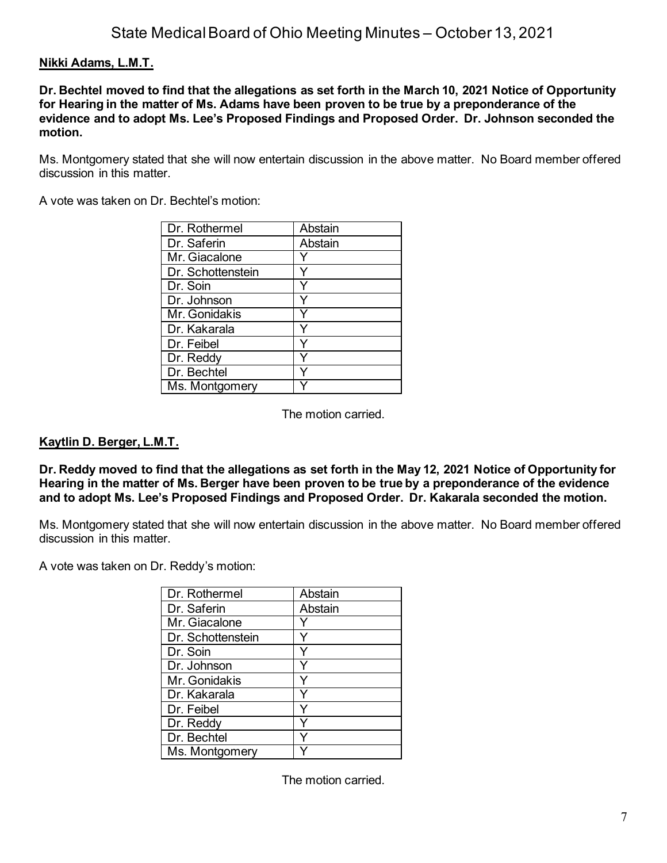# **Nikki Adams, L.M.T.**

**Dr. Bechtel moved to find that the allegations as set forth in the March 10, 2021 Notice of Opportunity for Hearing in the matter of Ms. Adams have been proven to be true by a preponderance of the evidence and to adopt Ms. Lee's Proposed Findings and Proposed Order. Dr. Johnson seconded the motion.**

Ms. Montgomery stated that she will now entertain discussion in the above matter. No Board member offered discussion in this matter.

A vote was taken on Dr. Bechtel's motion:

| Dr. Rothermel     | Abstain |
|-------------------|---------|
| Dr. Saferin       | Abstain |
| Mr. Giacalone     |         |
| Dr. Schottenstein |         |
| Dr. Soin          |         |
| Dr. Johnson       |         |
| Mr. Gonidakis     |         |
| Dr. Kakarala      |         |
| Dr. Feibel        | Y       |
| Dr. Reddy         |         |
| Dr. Bechtel       |         |
| Ms. Montgomery    |         |

The motion carried.

## **Kaytlin D. Berger, L.M.T.**

**Dr. Reddy moved to find that the allegations as set forth in the May 12, 2021 Notice of Opportunity for Hearing in the matter of Ms. Berger have been proven to be true by a preponderance of the evidence and to adopt Ms. Lee's Proposed Findings and Proposed Order. Dr. Kakarala seconded the motion.**

Ms. Montgomery stated that she will now entertain discussion in the above matter. No Board member offered discussion in this matter.

A vote was taken on Dr. Reddy's motion:

| Dr. Rothermel     | Abstain |
|-------------------|---------|
| Dr. Saferin       | Abstain |
| Mr. Giacalone     |         |
| Dr. Schottenstein |         |
| Dr. Soin          |         |
| Dr. Johnson       |         |
| Mr. Gonidakis     |         |
| Dr. Kakarala      |         |
| Dr. Feibel        |         |
| Dr. Reddy         |         |
| Dr. Bechtel       |         |
| Ms. Montgomery    |         |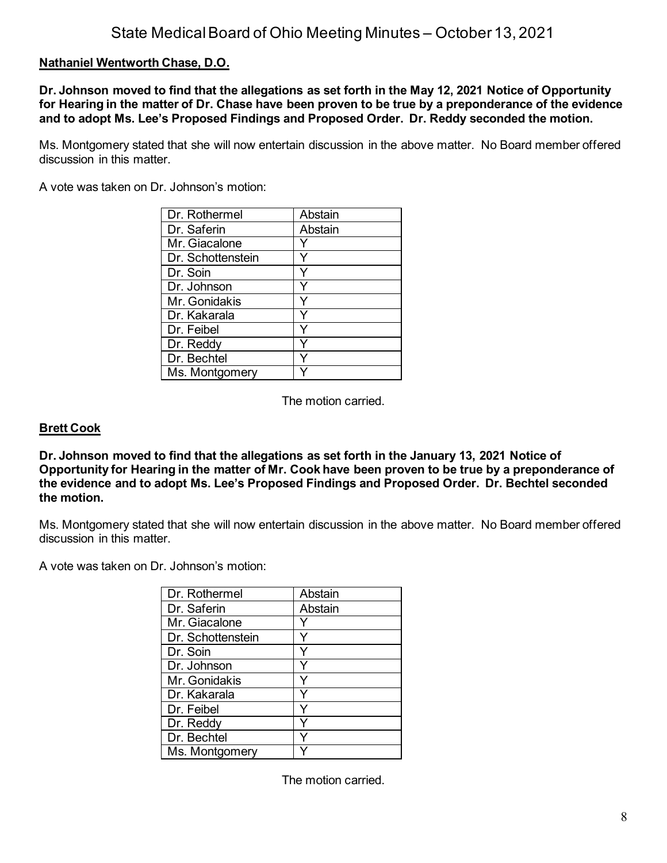# **Nathaniel Wentworth Chase, D.O.**

**Dr. Johnson moved to find that the allegations as set forth in the May 12, 2021 Notice of Opportunity for Hearing in the matter of Dr. Chase have been proven to be true by a preponderance of the evidence and to adopt Ms. Lee's Proposed Findings and Proposed Order. Dr. Reddy seconded the motion.**

Ms. Montgomery stated that she will now entertain discussion in the above matter. No Board member offered discussion in this matter.

A vote was taken on Dr. Johnson's motion:

| Dr. Rothermel     | Abstain |
|-------------------|---------|
| Dr. Saferin       | Abstain |
| Mr. Giacalone     |         |
| Dr. Schottenstein |         |
| Dr. Soin          | ٧       |
| Dr. Johnson       |         |
| Mr. Gonidakis     | Y       |
| Dr. Kakarala      |         |
| Dr. Feibel        |         |
| Dr. Reddy         |         |
| Dr. Bechtel       |         |
| Ms. Montgomery    |         |

The motion carried.

### **Brett Cook**

**Dr. Johnson moved to find that the allegations as set forth in the January 13, 2021 Notice of Opportunity for Hearing in the matter of Mr. Cook have been proven to be true by a preponderance of the evidence and to adopt Ms. Lee's Proposed Findings and Proposed Order. Dr. Bechtel seconded the motion.**

Ms. Montgomery stated that she will now entertain discussion in the above matter. No Board member offered discussion in this matter.

A vote was taken on Dr. Johnson's motion:

| Dr. Rothermel     | Abstain |
|-------------------|---------|
| Dr. Saferin       | Abstain |
| Mr. Giacalone     |         |
| Dr. Schottenstein |         |
| Dr. Soin          |         |
| Dr. Johnson       |         |
| Mr. Gonidakis     |         |
| Dr. Kakarala      |         |
| Dr. Feibel        |         |
| Dr. Reddy         |         |
| Dr. Bechtel       |         |
| Ms. Montgomery    |         |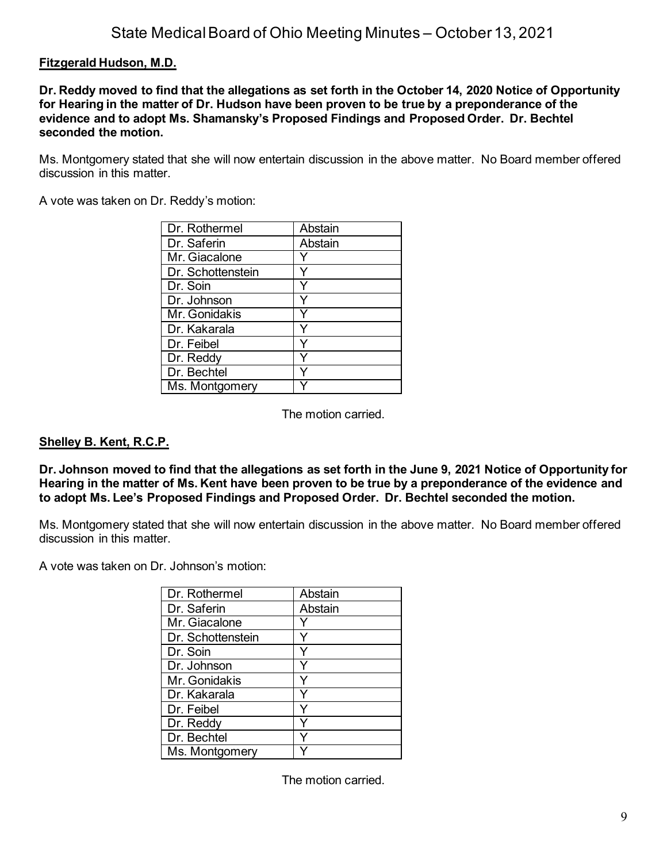# **Fitzgerald Hudson, M.D.**

**Dr. Reddy moved to find that the allegations as set forth in the October 14, 2020 Notice of Opportunity for Hearing in the matter of Dr. Hudson have been proven to be true by a preponderance of the evidence and to adopt Ms. Shamansky's Proposed Findings and Proposed Order. Dr. Bechtel seconded the motion.**

Ms. Montgomery stated that she will now entertain discussion in the above matter. No Board member offered discussion in this matter.

A vote was taken on Dr. Reddy's motion:

| Dr. Rothermel     | Abstain |
|-------------------|---------|
| Dr. Saferin       | Abstain |
| Mr. Giacalone     |         |
| Dr. Schottenstein |         |
| Dr. Soin          |         |
| Dr. Johnson       |         |
| Mr. Gonidakis     |         |
| Dr. Kakarala      |         |
| Dr. Feibel        | ٧       |
| Dr. Reddy         |         |
| Dr. Bechtel       |         |
| Ms. Montgomery    |         |

The motion carried.

### **Shelley B. Kent, R.C.P.**

**Dr. Johnson moved to find that the allegations as set forth in the June 9, 2021 Notice of Opportunity for Hearing in the matter of Ms. Kent have been proven to be true by a preponderance of the evidence and to adopt Ms. Lee's Proposed Findings and Proposed Order. Dr. Bechtel seconded the motion.**

Ms. Montgomery stated that she will now entertain discussion in the above matter. No Board member offered discussion in this matter.

A vote was taken on Dr. Johnson's motion:

| Dr. Rothermel     | Abstain |
|-------------------|---------|
| Dr. Saferin       | Abstain |
| Mr. Giacalone     |         |
| Dr. Schottenstein |         |
| Dr. Soin          |         |
| Dr. Johnson       |         |
| Mr. Gonidakis     |         |
| Dr. Kakarala      |         |
| Dr. Feibel        | ∿       |
| Dr. Reddy         |         |
| Dr. Bechtel       |         |
| Ms. Montgomery    |         |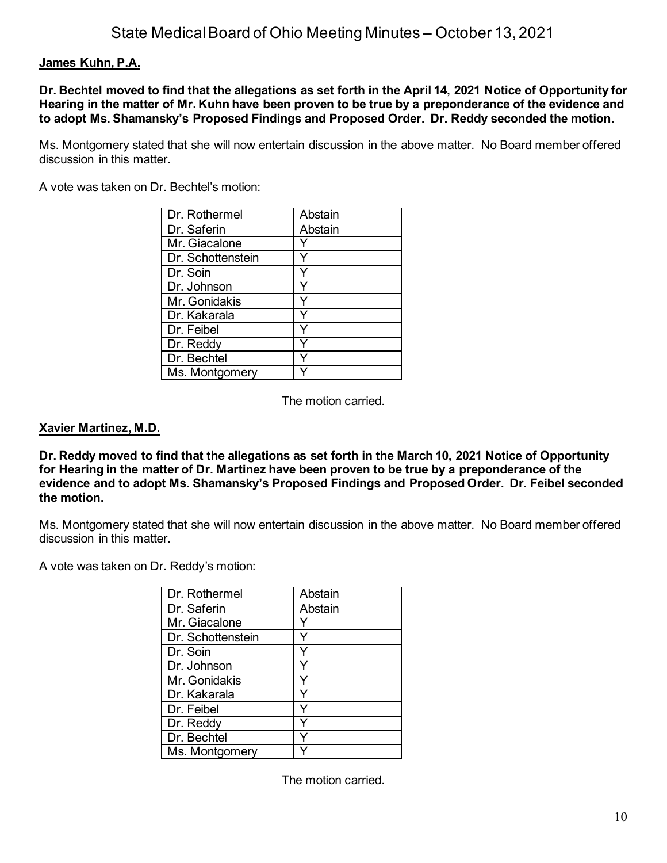## **James Kuhn, P.A.**

**Dr. Bechtel moved to find that the allegations as set forth in the April 14, 2021 Notice of Opportunity for Hearing in the matter of Mr. Kuhn have been proven to be true by a preponderance of the evidence and to adopt Ms. Shamansky's Proposed Findings and Proposed Order. Dr. Reddy seconded the motion.**

Ms. Montgomery stated that she will now entertain discussion in the above matter. No Board member offered discussion in this matter.

A vote was taken on Dr. Bechtel's motion:

| Dr. Rothermel     | Abstain |
|-------------------|---------|
| Dr. Saferin       | Abstain |
| Mr. Giacalone     |         |
| Dr. Schottenstein |         |
| Dr. Soin          |         |
| Dr. Johnson       |         |
| Mr. Gonidakis     |         |
| Dr. Kakarala      |         |
| Dr. Feibel        |         |
| Dr. Reddy         |         |
| Dr. Bechtel       | Y       |
| Ms. Montgomery    |         |

The motion carried.

### **Xavier Martinez, M.D.**

**Dr. Reddy moved to find that the allegations as set forth in the March 10, 2021 Notice of Opportunity for Hearing in the matter of Dr. Martinez have been proven to be true by a preponderance of the evidence and to adopt Ms. Shamansky's Proposed Findings and Proposed Order. Dr. Feibel seconded the motion.**

Ms. Montgomery stated that she will now entertain discussion in the above matter. No Board member offered discussion in this matter.

A vote was taken on Dr. Reddy's motion:

| Dr. Rothermel     | Abstain |
|-------------------|---------|
| Dr. Saferin       | Abstain |
| Mr. Giacalone     |         |
| Dr. Schottenstein |         |
| Dr. Soin          |         |
| Dr. Johnson       |         |
| Mr. Gonidakis     |         |
| Dr. Kakarala      |         |
| Dr. Feibel        |         |
| Dr. Reddy         |         |
| Dr. Bechtel       |         |
| Ms. Montgomery    |         |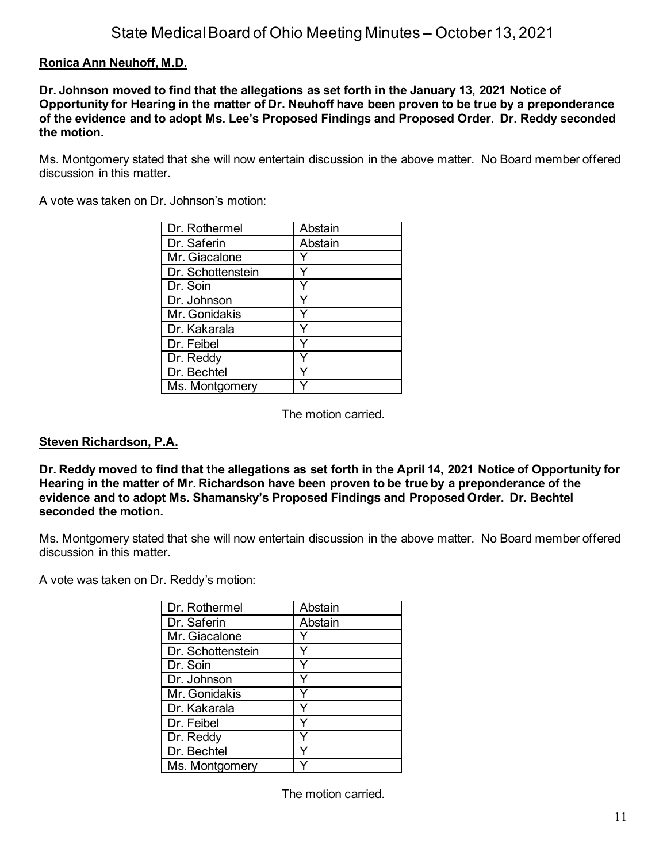# **Ronica Ann Neuhoff, M.D.**

**Dr. Johnson moved to find that the allegations as set forth in the January 13, 2021 Notice of Opportunity for Hearing in the matter of Dr. Neuhoff have been proven to be true by a preponderance of the evidence and to adopt Ms. Lee's Proposed Findings and Proposed Order. Dr. Reddy seconded the motion.**

Ms. Montgomery stated that she will now entertain discussion in the above matter. No Board member offered discussion in this matter.

A vote was taken on Dr. Johnson's motion:

| Dr. Rothermel     | Abstain |
|-------------------|---------|
| Dr. Saferin       | Abstain |
| Mr. Giacalone     |         |
| Dr. Schottenstein |         |
| Dr. Soin          |         |
| Dr. Johnson       |         |
| Mr. Gonidakis     |         |
| Dr. Kakarala      | Y       |
| Dr. Feibel        | Y       |
| Dr. Reddy         | ٧       |
| Dr. Bechtel       |         |
| Ms. Montgomery    |         |

The motion carried.

### **Steven Richardson, P.A.**

**Dr. Reddy moved to find that the allegations as set forth in the April 14, 2021 Notice of Opportunity for Hearing in the matter of Mr. Richardson have been proven to be true by a preponderance of the evidence and to adopt Ms. Shamansky's Proposed Findings and Proposed Order. Dr. Bechtel seconded the motion.**

Ms. Montgomery stated that she will now entertain discussion in the above matter. No Board member offered discussion in this matter.

A vote was taken on Dr. Reddy's motion:

| Dr. Rothermel     | Abstain |
|-------------------|---------|
| Dr. Saferin       | Abstain |
| Mr. Giacalone     |         |
| Dr. Schottenstein |         |
| Dr. Soin          |         |
| Dr. Johnson       |         |
| Mr. Gonidakis     |         |
| Dr. Kakarala      |         |
| Dr. Feibel        | ∨       |
| Dr. Reddy         |         |
| Dr. Bechtel       |         |
| Ms. Montgomery    |         |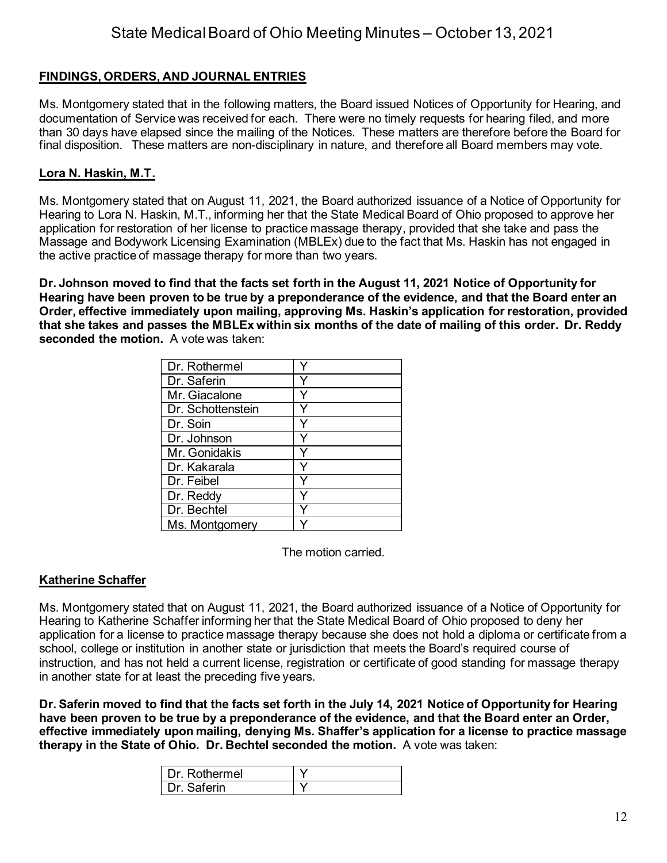# **FINDINGS, ORDERS, AND JOURNAL ENTRIES**

Ms. Montgomery stated that in the following matters, the Board issued Notices of Opportunity for Hearing, and documentation of Service was received for each. There were no timely requests for hearing filed, and more than 30 days have elapsed since the mailing of the Notices. These matters are therefore before the Board for final disposition. These matters are non-disciplinary in nature, and therefore all Board members may vote.

## **Lora N. Haskin, M.T.**

Ms. Montgomery stated that on August 11, 2021, the Board authorized issuance of a Notice of Opportunity for Hearing to Lora N. Haskin, M.T., informing her that the State Medical Board of Ohio proposed to approve her application for restoration of her license to practice massage therapy, provided that she take and pass the Massage and Bodywork Licensing Examination (MBLEx) due to the fact that Ms. Haskin has not engaged in the active practice of massage therapy for more than two years.

**Dr. Johnson moved to find that the facts set forth in the August 11, 2021 Notice of Opportunity for Hearing have been proven to be true by a preponderance of the evidence, and that the Board enter an Order, effective immediately upon mailing, approving Ms. Haskin's application for restoration, provided that she takes and passes the MBLEx within six months of the date of mailing of this order. Dr. Reddy seconded the motion.** A vote was taken:

| Dr. Rothermel     |  |
|-------------------|--|
| Dr. Saferin       |  |
| Mr. Giacalone     |  |
| Dr. Schottenstein |  |
| Dr. Soin          |  |
| Dr. Johnson       |  |
| Mr. Gonidakis     |  |
| Dr. Kakarala      |  |
| Dr. Feibel        |  |
| Dr. Reddy         |  |
| Dr. Bechtel       |  |
| Ms. Montgomery    |  |

The motion carried.

## **Katherine Schaffer**

Ms. Montgomery stated that on August 11, 2021, the Board authorized issuance of a Notice of Opportunity for Hearing to Katherine Schaffer informing her that the State Medical Board of Ohio proposed to deny her application for a license to practice massage therapy because she does not hold a diploma or certificate from a school, college or institution in another state or jurisdiction that meets the Board's required course of instruction, and has not held a current license, registration or certificate of good standing for massage therapy in another state for at least the preceding five years.

**Dr. Saferin moved to find that the facts set forth in the July 14, 2021 Notice of Opportunity for Hearing have been proven to be true by a preponderance of the evidence, and that the Board enter an Order, effective immediately upon mailing, denying Ms. Shaffer's application for a license to practice massage therapy in the State of Ohio. Dr. Bechtel seconded the motion.** A vote was taken:

| l Dr Rothermel |  |
|----------------|--|
| Dr. Saferin    |  |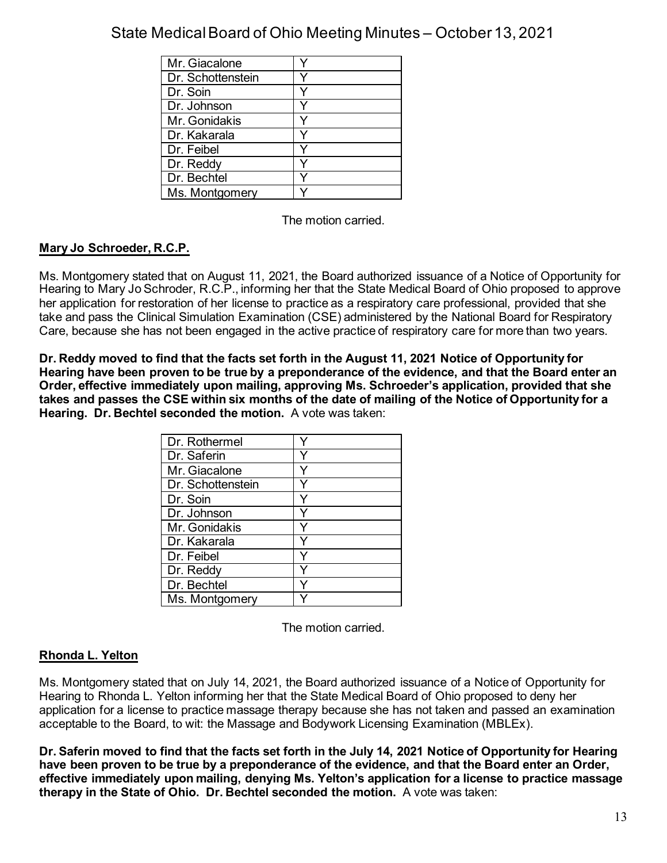| Mr. Giacalone     |  |
|-------------------|--|
| Dr. Schottenstein |  |
| Dr. Soin          |  |
| Dr. Johnson       |  |
| Mr. Gonidakis     |  |
| Dr. Kakarala      |  |
| Dr. Feibel        |  |
| Dr. Reddy         |  |
| Dr. Bechtel       |  |
| Ms. Montgomery    |  |

The motion carried.

# **Mary Jo Schroeder, R.C.P.**

Ms. Montgomery stated that on August 11, 2021, the Board authorized issuance of a Notice of Opportunity for Hearing to Mary Jo Schroder, R.C.P., informing her that the State Medical Board of Ohio proposed to approve her application for restoration of her license to practice as a respiratory care professional, provided that she take and pass the Clinical Simulation Examination (CSE) administered by the National Board for Respiratory Care, because she has not been engaged in the active practice of respiratory care for more than two years.

**Dr. Reddy moved to find that the facts set forth in the August 11, 2021 Notice of Opportunity for Hearing have been proven to be true by a preponderance of the evidence, and that the Board enter an Order, effective immediately upon mailing, approving Ms. Schroeder's application, provided that she takes and passes the CSE within six months of the date of mailing of the Notice of Opportunity for a Hearing. Dr. Bechtel seconded the motion.** A vote was taken:

| Dr. Rothermel     |  |
|-------------------|--|
| Dr. Saferin       |  |
| Mr. Giacalone     |  |
| Dr. Schottenstein |  |
| Dr. Soin          |  |
| Dr. Johnson       |  |
| Mr. Gonidakis     |  |
| Dr. Kakarala      |  |
| Dr. Feibel        |  |
| Dr. Reddy         |  |
| Dr. Bechtel       |  |
| Ms. Montgomery    |  |

The motion carried.

## **Rhonda L. Yelton**

Ms. Montgomery stated that on July 14, 2021, the Board authorized issuance of a Notice of Opportunity for Hearing to Rhonda L. Yelton informing her that the State Medical Board of Ohio proposed to deny her application for a license to practice massage therapy because she has not taken and passed an examination acceptable to the Board, to wit: the Massage and Bodywork Licensing Examination (MBLEx).

**Dr. Saferin moved to find that the facts set forth in the July 14, 2021 Notice of Opportunity for Hearing have been proven to be true by a preponderance of the evidence, and that the Board enter an Order, effective immediately upon mailing, denying Ms. Yelton's application for a license to practice massage therapy in the State of Ohio. Dr. Bechtel seconded the motion.** A vote was taken: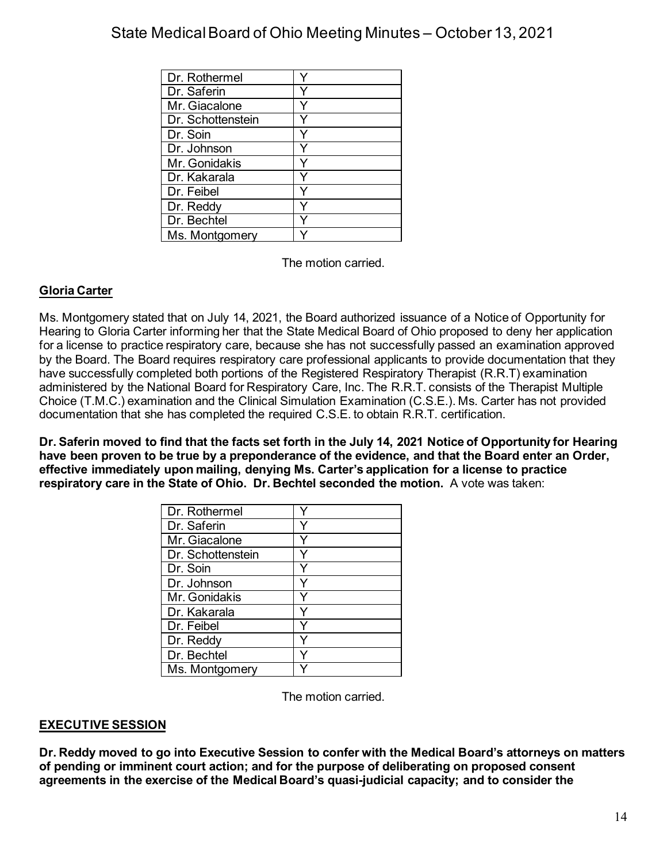| Dr. Rothermel     |  |
|-------------------|--|
|                   |  |
| Dr. Saferin       |  |
| Mr. Giacalone     |  |
| Dr. Schottenstein |  |
| Dr. Soin          |  |
| Dr. Johnson       |  |
| Mr. Gonidakis     |  |
| Dr. Kakarala      |  |
| Dr. Feibel        |  |
| Dr. Reddy         |  |
| Dr. Bechtel       |  |
| Ms. Montgomery    |  |

The motion carried.

# **Gloria Carter**

Ms. Montgomery stated that on July 14, 2021, the Board authorized issuance of a Notice of Opportunity for Hearing to Gloria Carter informing her that the State Medical Board of Ohio proposed to deny her application for a license to practice respiratory care, because she has not successfully passed an examination approved by the Board. The Board requires respiratory care professional applicants to provide documentation that they have successfully completed both portions of the Registered Respiratory Therapist (R.R.T) examination administered by the National Board for Respiratory Care, Inc. The R.R.T. consists of the Therapist Multiple Choice (T.M.C.) examination and the Clinical Simulation Examination (C.S.E.). Ms. Carter has not provided documentation that she has completed the required C.S.E. to obtain R.R.T. certification.

**Dr. Saferin moved to find that the facts set forth in the July 14, 2021 Notice of Opportunity for Hearing have been proven to be true by a preponderance of the evidence, and that the Board enter an Order, effective immediately upon mailing, denying Ms. Carter's application for a license to practice respiratory care in the State of Ohio. Dr. Bechtel seconded the motion.** A vote was taken:

| Dr. Rothermel     |  |
|-------------------|--|
| Dr. Saferin       |  |
| Mr. Giacalone     |  |
| Dr. Schottenstein |  |
| Dr. Soin          |  |
| Dr. Johnson       |  |
| Mr. Gonidakis     |  |
| Dr. Kakarala      |  |
| Dr. Feibel        |  |
| Dr. Reddy         |  |
| Dr. Bechtel       |  |
| Ms. Montgomery    |  |

The motion carried.

## **EXECUTIVE SESSION**

**Dr. Reddy moved to go into Executive Session to confer with the Medical Board's attorneys on matters of pending or imminent court action; and for the purpose of deliberating on proposed consent agreements in the exercise of the Medical Board's quasi-judicial capacity; and to consider the**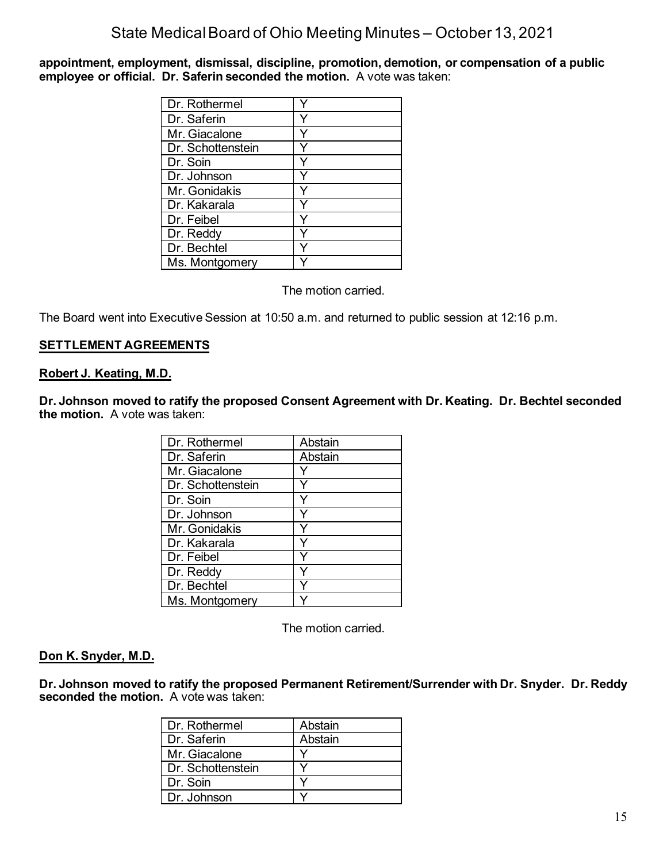**appointment, employment, dismissal, discipline, promotion, demotion, or compensation of a public employee or official. Dr. Saferin seconded the motion.** A vote was taken:

| Dr. Rothermel     |  |
|-------------------|--|
| Dr. Saferin       |  |
| Mr. Giacalone     |  |
| Dr. Schottenstein |  |
| Dr. Soin          |  |
| Dr. Johnson       |  |
| Mr. Gonidakis     |  |
| Dr. Kakarala      |  |
| Dr. Feibel        |  |
| Dr. Reddy         |  |
| Dr. Bechtel       |  |
| Ms. Montgomery    |  |

The motion carried.

The Board went into Executive Session at 10:50 a.m. and returned to public session at 12:16 p.m.

## **SETTLEMENT AGREEMENTS**

#### **Robert J. Keating, M.D.**

**Dr. Johnson moved to ratify the proposed Consent Agreement with Dr. Keating. Dr. Bechtel seconded the motion.** A vote was taken:

| Dr. Rothermel     | Abstain |
|-------------------|---------|
| Dr. Saferin       | Abstain |
| Mr. Giacalone     |         |
| Dr. Schottenstein |         |
| Dr. Soin          |         |
| Dr. Johnson       |         |
| Mr. Gonidakis     |         |
| Dr. Kakarala      |         |
| Dr. Feibel        |         |
| Dr. Reddy         |         |
| Dr. Bechtel       |         |
| Ms. Montgomery    |         |

The motion carried.

### **Don K. Snyder, M.D.**

**Dr. Johnson moved to ratify the proposed Permanent Retirement/Surrender with Dr. Snyder. Dr. Reddy seconded the motion.** A vote was taken:

| Dr. Rothermel     | Abstain |
|-------------------|---------|
| Dr. Saferin       | Abstain |
| Mr. Giacalone     |         |
| Dr. Schottenstein |         |
| Dr. Soin          |         |
| Dr. Johnson       |         |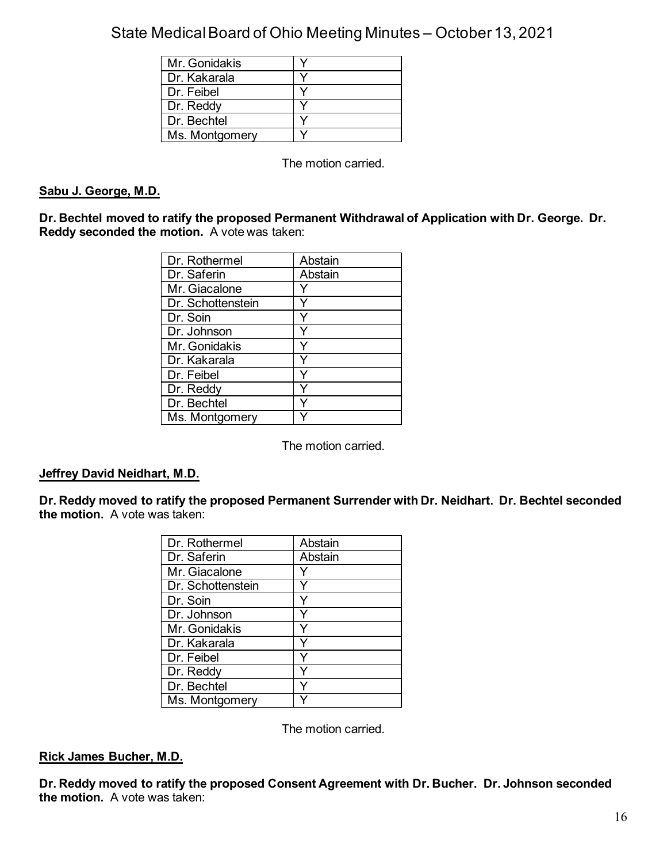| Mr. Gonidakis  |  |
|----------------|--|
| Dr. Kakarala   |  |
| Dr. Feibel     |  |
| Dr. Reddy      |  |
| Dr. Bechtel    |  |
| Ms. Montgomery |  |

The motion carried.

### **Sabu J. George, M.D.**

**Dr. Bechtel moved to ratify the proposed Permanent Withdrawal of Application with Dr. George. Dr. Reddy seconded the motion.** A vote was taken:

| Dr. Rothermel     | Abstain |
|-------------------|---------|
| Dr. Saferin       | Abstain |
| Mr. Giacalone     |         |
| Dr. Schottenstein |         |
| Dr. Soin          |         |
| Dr. Johnson       |         |
| Mr. Gonidakis     |         |
| Dr. Kakarala      |         |
| Dr. Feibel        |         |
| Dr. Reddy         |         |
| Dr. Bechtel       |         |
| Ms. Montgomery    |         |

The motion carried.

## **Jeffrey David Neidhart, M.D.**

**Dr. Reddy moved to ratify the proposed Permanent Surrender with Dr. Neidhart. Dr. Bechtel seconded the motion.** A vote was taken:

| Dr. Rothermel     | Abstain |
|-------------------|---------|
| Dr. Saferin       | Abstain |
| Mr. Giacalone     |         |
| Dr. Schottenstein |         |
| Dr. Soin          |         |
| Dr. Johnson       |         |
| Mr. Gonidakis     |         |
| Dr. Kakarala      |         |
| Dr. Feibel        | ◡       |
| Dr. Reddy         |         |
| Dr. Bechtel       |         |
| Ms. Montgomery    |         |

The motion carried.

### **Rick James Bucher, M.D.**

**Dr. Reddy moved to ratify the proposed Consent Agreement with Dr. Bucher. Dr. Johnson seconded the motion.** A vote was taken: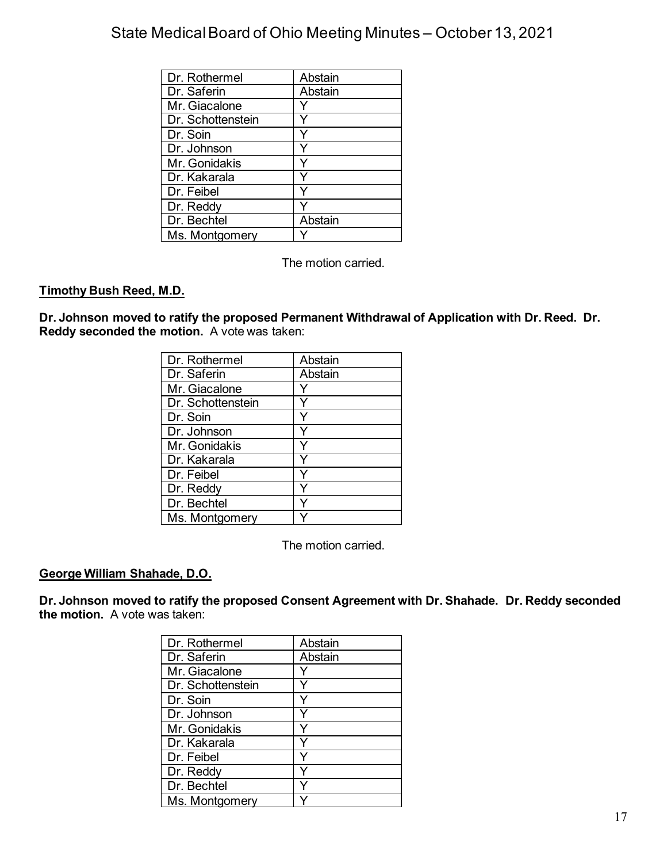| Dr. Rothermel     | Abstain |
|-------------------|---------|
| Dr. Saferin       | Abstain |
| Mr. Giacalone     |         |
| Dr. Schottenstein |         |
| Dr. Soin          |         |
| Dr. Johnson       |         |
| Mr. Gonidakis     |         |
| Dr. Kakarala      |         |
| Dr. Feibel        |         |
| Dr. Reddy         |         |
| Dr. Bechtel       | Abstain |
| Ms. Montgomery    |         |

The motion carried.

# **Timothy Bush Reed, M.D.**

**Dr. Johnson moved to ratify the proposed Permanent Withdrawal of Application with Dr. Reed. Dr. Reddy seconded the motion.** A vote was taken:

| Dr. Rothermel     | Abstain |
|-------------------|---------|
| Dr. Saferin       | Abstain |
| Mr. Giacalone     |         |
| Dr. Schottenstein |         |
| Dr. Soin          |         |
| Dr. Johnson       |         |
| Mr. Gonidakis     |         |
| Dr. Kakarala      |         |
| Dr. Feibel        |         |
| Dr. Reddy         |         |
| Dr. Bechtel       |         |
| Ms. Montgomery    |         |

The motion carried.

## **George William Shahade, D.O.**

**Dr. Johnson moved to ratify the proposed Consent Agreement with Dr. Shahade. Dr. Reddy seconded the motion.** A vote was taken:

| Dr. Rothermel     | Abstain |
|-------------------|---------|
| Dr. Saferin       | Abstain |
| Mr. Giacalone     |         |
| Dr. Schottenstein |         |
| Dr. Soin          |         |
| Dr. Johnson       |         |
| Mr. Gonidakis     |         |
| Dr. Kakarala      |         |
| Dr. Feibel        |         |
| Dr. Reddy         |         |
| Dr. Bechtel       |         |
| Ms. Montgomery    |         |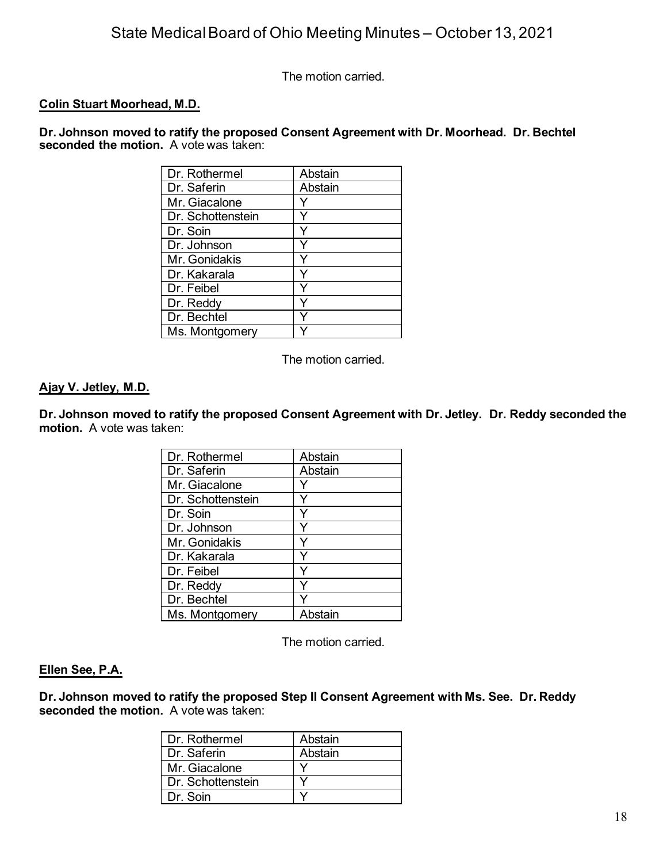The motion carried.

### **Colin Stuart Moorhead, M.D.**

**Dr. Johnson moved to ratify the proposed Consent Agreement with Dr. Moorhead. Dr. Bechtel seconded the motion.** A vote was taken:

| Dr. Rothermel     | Abstain |
|-------------------|---------|
| Dr. Saferin       | Abstain |
| Mr. Giacalone     |         |
| Dr. Schottenstein |         |
| Dr. Soin          |         |
| Dr. Johnson       |         |
| Mr. Gonidakis     |         |
| Dr. Kakarala      |         |
| Dr. Feibel        |         |
| Dr. Reddy         |         |
| Dr. Bechtel       |         |
| Ms. Montgomery    |         |

The motion carried.

### **Ajay V. Jetley, M.D.**

**Dr. Johnson moved to ratify the proposed Consent Agreement with Dr. Jetley. Dr. Reddy seconded the motion.** A vote was taken:

| Dr. Rothermel     | Abstain |
|-------------------|---------|
| Dr. Saferin       | Abstain |
| Mr. Giacalone     |         |
| Dr. Schottenstein |         |
| Dr. Soin          |         |
| Dr. Johnson       |         |
| Mr. Gonidakis     |         |
| Dr. Kakarala      |         |
| Dr. Feibel        |         |
| Dr. Reddy         | ٧       |
| Dr. Bechtel       |         |
| Ms. Montgomery    | Abstain |

The motion carried.

### **Ellen See, P.A.**

**Dr. Johnson moved to ratify the proposed Step II Consent Agreement with Ms. See. Dr. Reddy seconded the motion.** A vote was taken:

| l Dr. Rothermel     | Abstain |
|---------------------|---------|
| l Dr. Saferin       | Abstain |
| Mr. Giacalone       |         |
| l Dr. Schottenstein |         |
| l Dr. Soin          |         |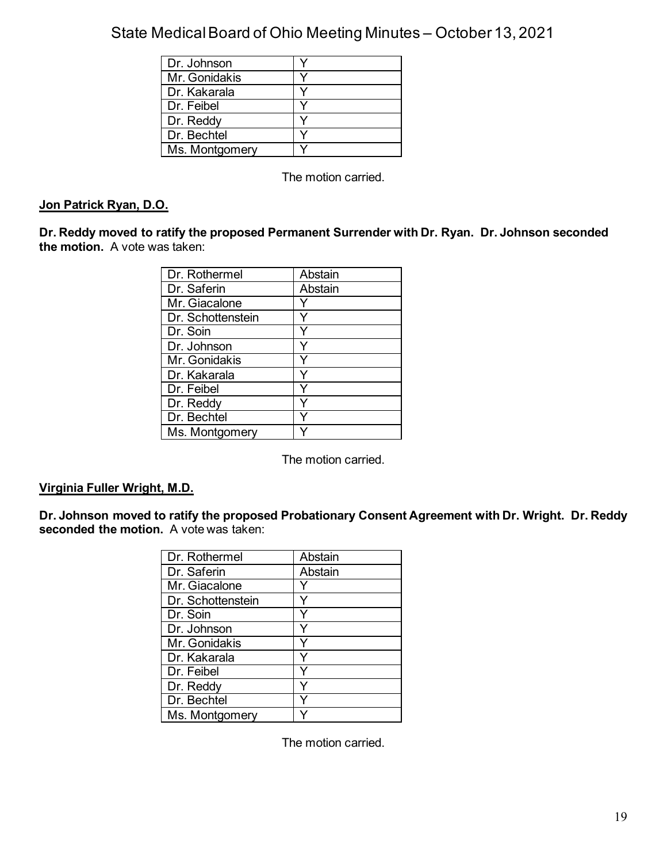| Dr. Johnson    |  |
|----------------|--|
| Mr. Gonidakis  |  |
| Dr. Kakarala   |  |
| Dr. Feibel     |  |
| Dr. Reddy      |  |
| Dr. Bechtel    |  |
| Ms. Montgomery |  |

The motion carried.

# **Jon Patrick Ryan, D.O.**

**Dr. Reddy moved to ratify the proposed Permanent Surrender with Dr. Ryan. Dr. Johnson seconded the motion.** A vote was taken:

| Dr. Rothermel     | Abstain |
|-------------------|---------|
| Dr. Saferin       | Abstain |
| Mr. Giacalone     |         |
| Dr. Schottenstein |         |
| Dr. Soin          |         |
| Dr. Johnson       |         |
| Mr. Gonidakis     |         |
| Dr. Kakarala      |         |
| Dr. Feibel        |         |
| Dr. Reddy         |         |
| Dr. Bechtel       |         |
| Ms. Montgomery    |         |

The motion carried.

### **Virginia Fuller Wright, M.D.**

**Dr. Johnson moved to ratify the proposed Probationary Consent Agreement with Dr. Wright. Dr. Reddy seconded the motion.** A vote was taken:

| Dr. Rothermel     | Abstain |
|-------------------|---------|
| Dr. Saferin       | Abstain |
| Mr. Giacalone     |         |
| Dr. Schottenstein |         |
| Dr. Soin          |         |
| Dr. Johnson       |         |
| Mr. Gonidakis     |         |
| Dr. Kakarala      |         |
| Dr. Feibel        |         |
| Dr. Reddy         |         |
| Dr. Bechtel       |         |
| Ms. Montgomery    |         |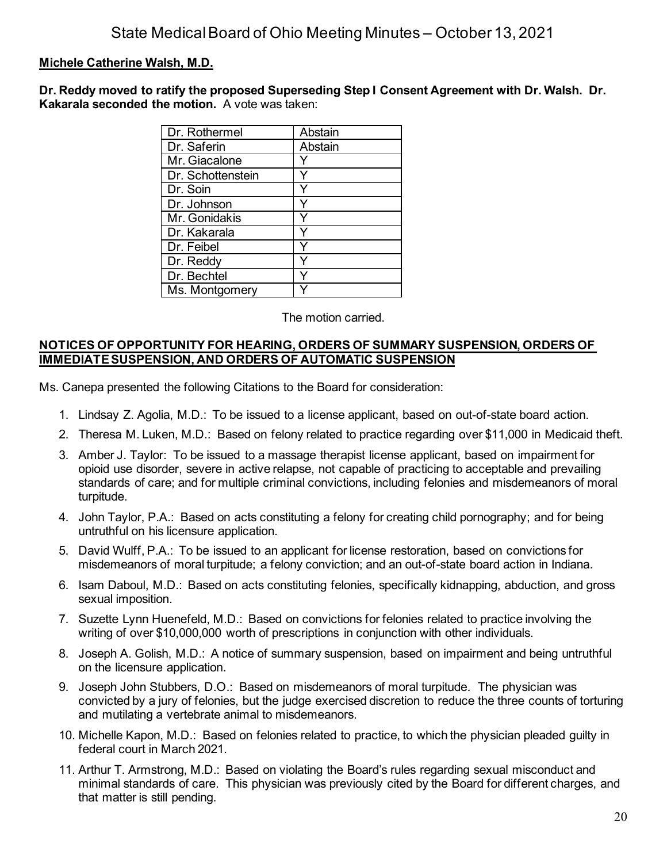## **Michele Catherine Walsh, M.D.**

**Dr. Reddy moved to ratify the proposed Superseding Step I Consent Agreement with Dr. Walsh. Dr. Kakarala seconded the motion.** A vote was taken:

| Dr. Rothermel     | Abstain |
|-------------------|---------|
| Dr. Saferin       | Abstain |
| Mr. Giacalone     |         |
| Dr. Schottenstein |         |
| Dr. Soin          |         |
| Dr. Johnson       |         |
| Mr. Gonidakis     |         |
| Dr. Kakarala      |         |
| Dr. Feibel        |         |
| Dr. Reddy         |         |
| Dr. Bechtel       |         |
| Ms. Montgomery    |         |

The motion carried.

### **NOTICES OF OPPORTUNITY FOR HEARING, ORDERS OF SUMMARY SUSPENSION, ORDERS OF IMMEDIATE SUSPENSION, AND ORDERS OF AUTOMATIC SUSPENSION**

Ms. Canepa presented the following Citations to the Board for consideration:

- 1. Lindsay Z. Agolia, M.D.: To be issued to a license applicant, based on out-of-state board action.
- 2. Theresa M. Luken, M.D.: Based on felony related to practice regarding over \$11,000 in Medicaid theft.
- 3. Amber J. Taylor: To be issued to a massage therapist license applicant, based on impairment for opioid use disorder, severe in active relapse, not capable of practicing to acceptable and prevailing standards of care; and for multiple criminal convictions, including felonies and misdemeanors of moral turpitude.
- 4. John Taylor, P.A.: Based on acts constituting a felony for creating child pornography; and for being untruthful on his licensure application.
- 5. David Wulff, P.A.: To be issued to an applicant for license restoration, based on convictions for misdemeanors of moral turpitude; a felony conviction; and an out-of-state board action in Indiana.
- 6. Isam Daboul, M.D.: Based on acts constituting felonies, specifically kidnapping, abduction, and gross sexual imposition.
- 7. Suzette Lynn Huenefeld, M.D.: Based on convictions for felonies related to practice involving the writing of over \$10,000,000 worth of prescriptions in conjunction with other individuals.
- 8. Joseph A. Golish, M.D.: A notice of summary suspension, based on impairment and being untruthful on the licensure application.
- 9. Joseph John Stubbers, D.O.: Based on misdemeanors of moral turpitude. The physician was convicted by a jury of felonies, but the judge exercised discretion to reduce the three counts of torturing and mutilating a vertebrate animal to misdemeanors.
- 10. Michelle Kapon, M.D.: Based on felonies related to practice, to which the physician pleaded guilty in federal court in March 2021.
- 11. Arthur T. Armstrong, M.D.: Based on violating the Board's rules regarding sexual misconduct and minimal standards of care. This physician was previously cited by the Board for different charges, and that matter is still pending.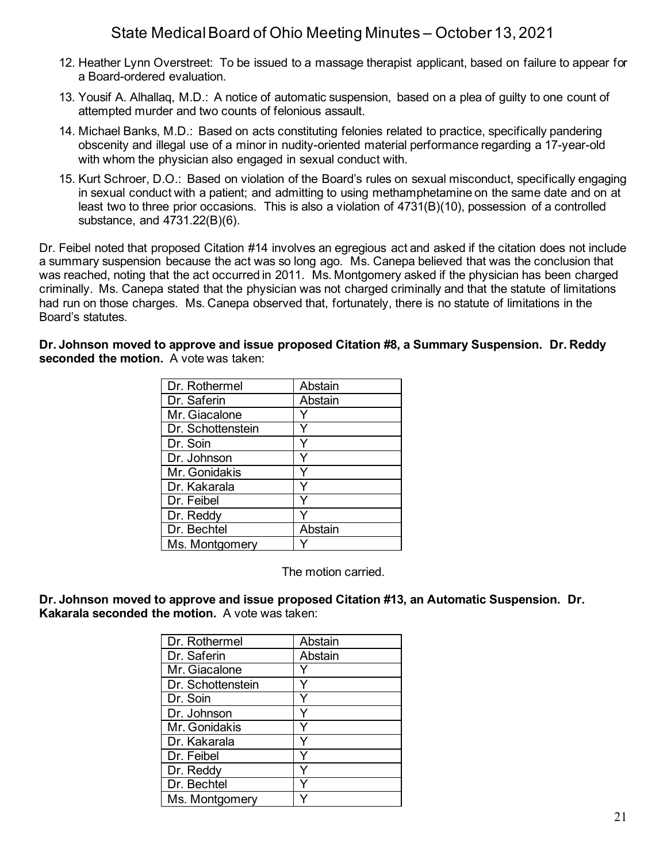- 12. Heather Lynn Overstreet: To be issued to a massage therapist applicant, based on failure to appear for a Board-ordered evaluation.
- 13. Yousif A. Alhallaq, M.D.: A notice of automatic suspension, based on a plea of guilty to one count of attempted murder and two counts of felonious assault.
- 14. Michael Banks, M.D.: Based on acts constituting felonies related to practice, specifically pandering obscenity and illegal use of a minor in nudity-oriented material performance regarding a 17-year-old with whom the physician also engaged in sexual conduct with.
- 15. Kurt Schroer, D.O.: Based on violation of the Board's rules on sexual misconduct, specifically engaging in sexual conduct with a patient; and admitting to using methamphetamine on the same date and on at least two to three prior occasions. This is also a violation of 4731(B)(10), possession of a controlled substance, and 4731.22(B)(6).

Dr. Feibel noted that proposed Citation #14 involves an egregious act and asked if the citation does not include a summary suspension because the act was so long ago. Ms. Canepa believed that was the conclusion that was reached, noting that the act occurred in 2011. Ms. Montgomery asked if the physician has been charged criminally. Ms. Canepa stated that the physician was not charged criminally and that the statute of limitations had run on those charges. Ms. Canepa observed that, fortunately, there is no statute of limitations in the Board's statutes.

**Dr. Johnson moved to approve and issue proposed Citation #8, a Summary Suspension. Dr. Reddy seconded the motion.** A vote was taken:

| Dr. Rothermel     | Abstain |
|-------------------|---------|
| Dr. Saferin       | Abstain |
| Mr. Giacalone     |         |
| Dr. Schottenstein |         |
| Dr. Soin          |         |
| Dr. Johnson       |         |
| Mr. Gonidakis     |         |
| Dr. Kakarala      |         |
| Dr. Feibel        |         |
| Dr. Reddy         |         |
| Dr. Bechtel       | Abstain |
| Ms. Montgomery    |         |

The motion carried.

**Dr. Johnson moved to approve and issue proposed Citation #13, an Automatic Suspension. Dr. Kakarala seconded the motion.** A vote was taken:

| Dr. Rothermel     | Abstain |
|-------------------|---------|
| Dr. Saferin       | Abstain |
| Mr. Giacalone     |         |
| Dr. Schottenstein |         |
| Dr. Soin          |         |
| Dr. Johnson       |         |
| Mr. Gonidakis     |         |
| Dr. Kakarala      |         |
| Dr. Feibel        |         |
| Dr. Reddy         | ٧       |
| Dr. Bechtel       |         |
| Ms. Montgomery    |         |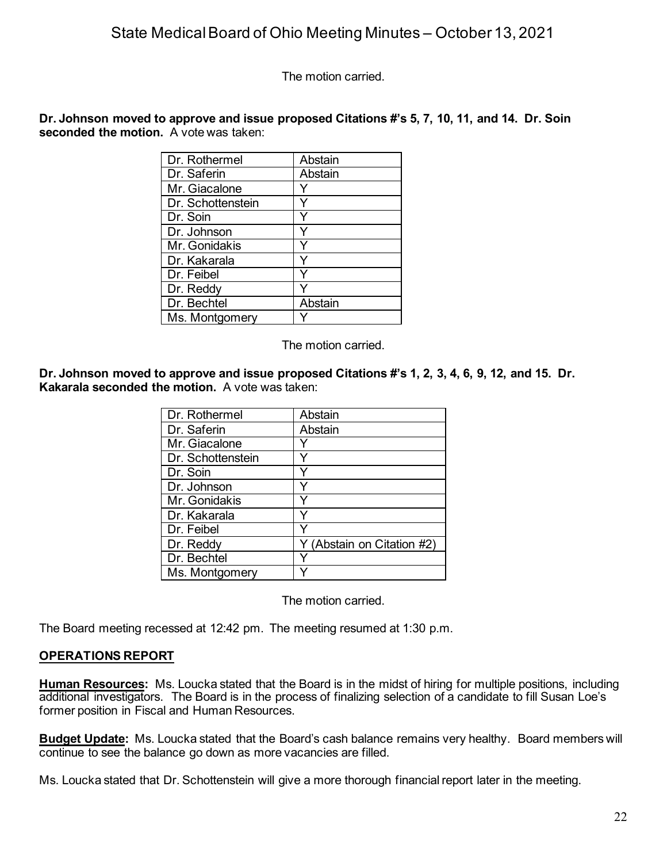The motion carried.

**Dr. Johnson moved to approve and issue proposed Citations #'s 5, 7, 10, 11, and 14. Dr. Soin seconded the motion.** A vote was taken:

| Dr. Rothermel     | Abstain |
|-------------------|---------|
| Dr. Saferin       | Abstain |
| Mr. Giacalone     |         |
| Dr. Schottenstein |         |
| Dr. Soin          |         |
| Dr. Johnson       |         |
| Mr. Gonidakis     |         |
| Dr. Kakarala      |         |
| Dr. Feibel        |         |
| Dr. Reddy         |         |
| Dr. Bechtel       | Abstain |
| Ms. Montgomery    |         |

The motion carried.

**Dr. Johnson moved to approve and issue proposed Citations #'s 1, 2, 3, 4, 6, 9, 12, and 15. Dr. Kakarala seconded the motion.** A vote was taken:

| Dr. Rothermel     | Abstain                    |
|-------------------|----------------------------|
| Dr. Saferin       | Abstain                    |
| Mr. Giacalone     |                            |
| Dr. Schottenstein |                            |
| Dr. Soin          |                            |
| Dr. Johnson       |                            |
| Mr. Gonidakis     |                            |
| Dr. Kakarala      |                            |
| Dr. Feibel        |                            |
| Dr. Reddy         | Y (Abstain on Citation #2) |
| Dr. Bechtel       |                            |
| Ms. Montgomery    |                            |

The motion carried.

The Board meeting recessed at 12:42 pm. The meeting resumed at 1:30 p.m.

## **OPERATIONS REPORT**

**Human Resources:** Ms. Loucka stated that the Board is in the midst of hiring for multiple positions, including additional investigators. The Board is in the process of finalizing selection of a candidate to fill Susan Loe's former position in Fiscal and Human Resources.

**Budget Update:** Ms. Loucka stated that the Board's cash balance remains very healthy. Board members will continue to see the balance go down as more vacancies are filled.

Ms. Loucka stated that Dr. Schottenstein will give a more thorough financial report later in the meeting.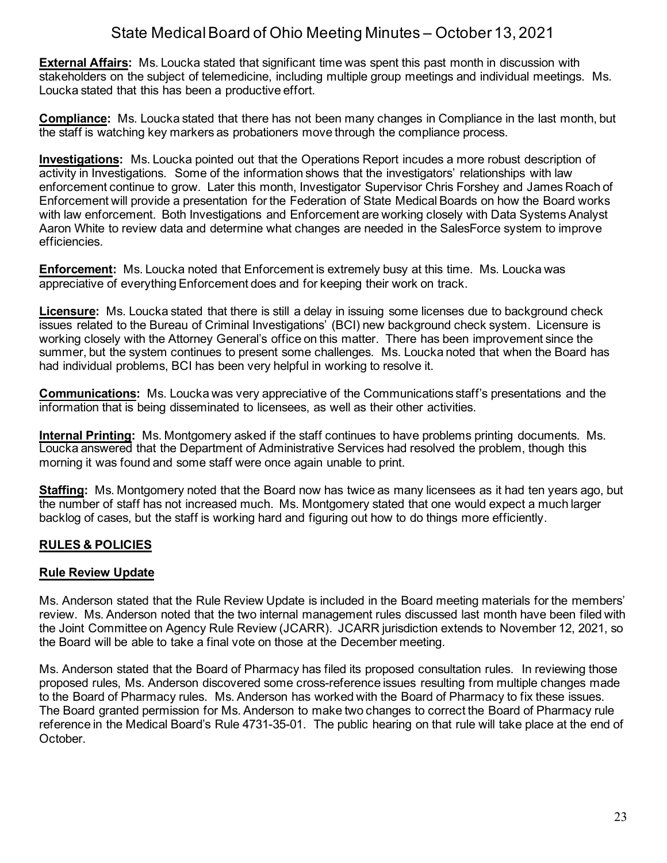**External Affairs:** Ms. Loucka stated that significant time was spent this past month in discussion with stakeholders on the subject of telemedicine, including multiple group meetings and individual meetings. Ms. Loucka stated that this has been a productive effort.

**Compliance:** Ms. Loucka stated that there has not been many changes in Compliance in the last month, but the staff is watching key markers as probationers move through the compliance process.

**Investigations:** Ms. Loucka pointed out that the Operations Report incudes a more robust description of activity in Investigations. Some of the information shows that the investigators' relationships with law enforcement continue to grow. Later this month, Investigator Supervisor Chris Forshey and James Roach of Enforcement will provide a presentation for the Federation of State Medical Boards on how the Board works with law enforcement. Both Investigations and Enforcement are working closely with Data Systems Analyst Aaron White to review data and determine what changes are needed in the SalesForce system to improve efficiencies.

**Enforcement:** Ms. Loucka noted that Enforcement is extremely busy at this time. Ms. Loucka was appreciative of everything Enforcement does and for keeping their work on track.

**Licensure:** Ms. Loucka stated that there is still a delay in issuing some licenses due to background check issues related to the Bureau of Criminal Investigations' (BCI) new background check system. Licensure is working closely with the Attorney General's office on this matter. There has been improvement since the summer, but the system continues to present some challenges. Ms. Loucka noted that when the Board has had individual problems, BCI has been very helpful in working to resolve it.

**Communications:** Ms. Loucka was very appreciative of the Communications staff's presentations and the information that is being disseminated to licensees, as well as their other activities.

**Internal Printing:** Ms. Montgomery asked if the staff continues to have problems printing documents. Ms. Loucka answered that the Department of Administrative Services had resolved the problem, though this morning it was found and some staff were once again unable to print.

**Staffing:** Ms. Montgomery noted that the Board now has twice as many licensees as it had ten years ago, but the number of staff has not increased much. Ms. Montgomery stated that one would expect a much larger backlog of cases, but the staff is working hard and figuring out how to do things more efficiently.

# **RULES & POLICIES**

# **Rule Review Update**

Ms. Anderson stated that the Rule Review Update is included in the Board meeting materials for the members' review. Ms. Anderson noted that the two internal management rules discussed last month have been filed with the Joint Committee on Agency Rule Review (JCARR). JCARR jurisdiction extends to November 12, 2021, so the Board will be able to take a final vote on those at the December meeting.

Ms. Anderson stated that the Board of Pharmacy has filed its proposed consultation rules. In reviewing those proposed rules, Ms. Anderson discovered some cross-reference issues resulting from multiple changes made to the Board of Pharmacy rules. Ms. Anderson has worked with the Board of Pharmacy to fix these issues. The Board granted permission for Ms. Anderson to make two changes to correct the Board of Pharmacy rule reference in the Medical Board's Rule 4731-35-01. The public hearing on that rule will take place at the end of October.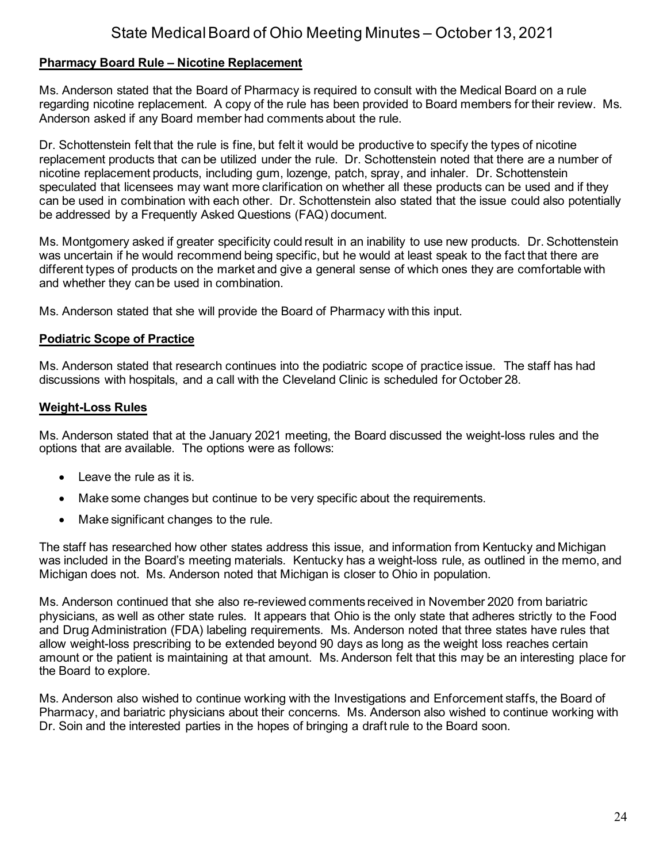### **Pharmacy Board Rule – Nicotine Replacement**

Ms. Anderson stated that the Board of Pharmacy is required to consult with the Medical Board on a rule regarding nicotine replacement. A copy of the rule has been provided to Board members for their review. Ms. Anderson asked if any Board member had comments about the rule.

Dr. Schottenstein felt that the rule is fine, but felt it would be productive to specify the types of nicotine replacement products that can be utilized under the rule. Dr. Schottenstein noted that there are a number of nicotine replacement products, including gum, lozenge, patch, spray, and inhaler. Dr. Schottenstein speculated that licensees may want more clarification on whether all these products can be used and if they can be used in combination with each other. Dr. Schottenstein also stated that the issue could also potentially be addressed by a Frequently Asked Questions (FAQ) document.

Ms. Montgomery asked if greater specificity could result in an inability to use new products. Dr. Schottenstein was uncertain if he would recommend being specific, but he would at least speak to the fact that there are different types of products on the market and give a general sense of which ones they are comfortable with and whether they can be used in combination.

Ms. Anderson stated that she will provide the Board of Pharmacy with this input.

### **Podiatric Scope of Practice**

Ms. Anderson stated that research continues into the podiatric scope of practice issue. The staff has had discussions with hospitals, and a call with the Cleveland Clinic is scheduled for October 28.

### **Weight-Loss Rules**

Ms. Anderson stated that at the January 2021 meeting, the Board discussed the weight-loss rules and the options that are available. The options were as follows:

- Leave the rule as it is.
- Make some changes but continue to be very specific about the requirements.
- Make significant changes to the rule.

The staff has researched how other states address this issue, and information from Kentucky and Michigan was included in the Board's meeting materials. Kentucky has a weight-loss rule, as outlined in the memo, and Michigan does not. Ms. Anderson noted that Michigan is closer to Ohio in population.

Ms. Anderson continued that she also re-reviewed comments received in November 2020 from bariatric physicians, as well as other state rules. It appears that Ohio is the only state that adheres strictly to the Food and Drug Administration (FDA) labeling requirements. Ms. Anderson noted that three states have rules that allow weight-loss prescribing to be extended beyond 90 days as long as the weight loss reaches certain amount or the patient is maintaining at that amount. Ms. Anderson felt that this may be an interesting place for the Board to explore.

Ms. Anderson also wished to continue working with the Investigations and Enforcement staffs, the Board of Pharmacy, and bariatric physicians about their concerns. Ms. Anderson also wished to continue working with Dr. Soin and the interested parties in the hopes of bringing a draft rule to the Board soon.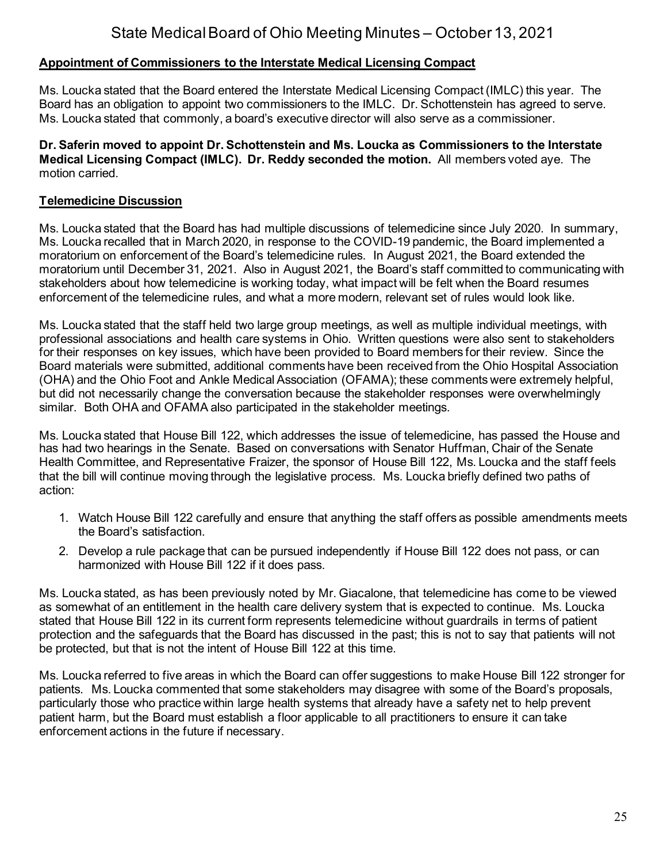# **Appointment of Commissioners to the Interstate Medical Licensing Compact**

Ms. Loucka stated that the Board entered the Interstate Medical Licensing Compact (IMLC) this year. The Board has an obligation to appoint two commissioners to the IMLC. Dr. Schottenstein has agreed to serve. Ms. Loucka stated that commonly, a board's executive director will also serve as a commissioner.

**Dr. Saferin moved to appoint Dr. Schottenstein and Ms. Loucka as Commissioners to the Interstate Medical Licensing Compact (IMLC). Dr. Reddy seconded the motion.** All members voted aye. The motion carried.

## **Telemedicine Discussion**

Ms. Loucka stated that the Board has had multiple discussions of telemedicine since July 2020. In summary, Ms. Loucka recalled that in March 2020, in response to the COVID-19 pandemic, the Board implemented a moratorium on enforcement of the Board's telemedicine rules. In August 2021, the Board extended the moratorium until December 31, 2021. Also in August 2021, the Board's staff committed to communicating with stakeholders about how telemedicine is working today, what impact will be felt when the Board resumes enforcement of the telemedicine rules, and what a more modern, relevant set of rules would look like.

Ms. Loucka stated that the staff held two large group meetings, as well as multiple individual meetings, with professional associations and health care systems in Ohio. Written questions were also sent to stakeholders for their responses on key issues, which have been provided to Board members for their review. Since the Board materials were submitted, additional comments have been received from the Ohio Hospital Association (OHA) and the Ohio Foot and Ankle Medical Association (OFAMA); these comments were extremely helpful, but did not necessarily change the conversation because the stakeholder responses were overwhelmingly similar. Both OHA and OFAMA also participated in the stakeholder meetings.

Ms. Loucka stated that House Bill 122, which addresses the issue of telemedicine, has passed the House and has had two hearings in the Senate. Based on conversations with Senator Huffman, Chair of the Senate Health Committee, and Representative Fraizer, the sponsor of House Bill 122, Ms. Loucka and the staff feels that the bill will continue moving through the legislative process. Ms. Loucka briefly defined two paths of action:

- 1. Watch House Bill 122 carefully and ensure that anything the staff offers as possible amendments meets the Board's satisfaction.
- 2. Develop a rule package that can be pursued independently if House Bill 122 does not pass, or can harmonized with House Bill 122 if it does pass.

Ms. Loucka stated, as has been previously noted by Mr. Giacalone, that telemedicine has come to be viewed as somewhat of an entitlement in the health care delivery system that is expected to continue. Ms. Loucka stated that House Bill 122 in its current form represents telemedicine without guardrails in terms of patient protection and the safeguards that the Board has discussed in the past; this is not to say that patients will not be protected, but that is not the intent of House Bill 122 at this time.

Ms. Loucka referred to five areas in which the Board can offer suggestions to make House Bill 122 stronger for patients. Ms. Loucka commented that some stakeholders may disagree with some of the Board's proposals, particularly those who practice within large health systems that already have a safety net to help prevent patient harm, but the Board must establish a floor applicable to all practitioners to ensure it can take enforcement actions in the future if necessary.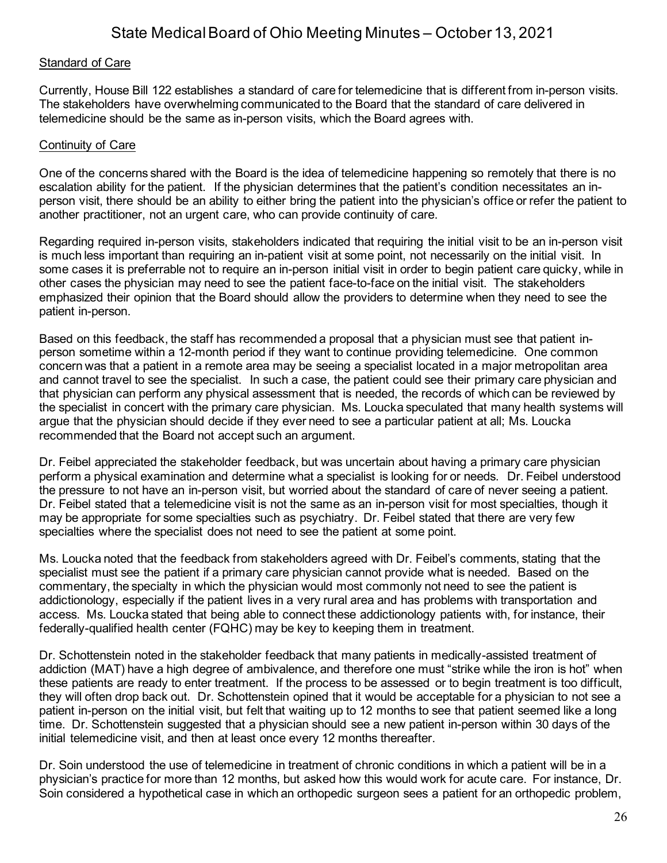### Standard of Care

Currently, House Bill 122 establishes a standard of care for telemedicine that is different from in-person visits. The stakeholders have overwhelming communicated to the Board that the standard of care delivered in telemedicine should be the same as in-person visits, which the Board agrees with.

#### Continuity of Care

One of the concerns shared with the Board is the idea of telemedicine happening so remotely that there is no escalation ability for the patient. If the physician determines that the patient's condition necessitates an inperson visit, there should be an ability to either bring the patient into the physician's office or refer the patient to another practitioner, not an urgent care, who can provide continuity of care.

Regarding required in-person visits, stakeholders indicated that requiring the initial visit to be an in-person visit is much less important than requiring an in-patient visit at some point, not necessarily on the initial visit. In some cases it is preferrable not to require an in-person initial visit in order to begin patient care quicky, while in other cases the physician may need to see the patient face-to-face on the initial visit. The stakeholders emphasized their opinion that the Board should allow the providers to determine when they need to see the patient in-person.

Based on this feedback, the staff has recommended a proposal that a physician must see that patient inperson sometime within a 12-month period if they want to continue providing telemedicine. One common concern was that a patient in a remote area may be seeing a specialist located in a major metropolitan area and cannot travel to see the specialist. In such a case, the patient could see their primary care physician and that physician can perform any physical assessment that is needed, the records of which can be reviewed by the specialist in concert with the primary care physician. Ms. Loucka speculated that many health systems will argue that the physician should decide if they ever need to see a particular patient at all; Ms. Loucka recommended that the Board not accept such an argument.

Dr. Feibel appreciated the stakeholder feedback, but was uncertain about having a primary care physician perform a physical examination and determine what a specialist is looking for or needs. Dr. Feibel understood the pressure to not have an in-person visit, but worried about the standard of care of never seeing a patient. Dr. Feibel stated that a telemedicine visit is not the same as an in-person visit for most specialties, though it may be appropriate for some specialties such as psychiatry. Dr. Feibel stated that there are very few specialties where the specialist does not need to see the patient at some point.

Ms. Loucka noted that the feedback from stakeholders agreed with Dr. Feibel's comments, stating that the specialist must see the patient if a primary care physician cannot provide what is needed. Based on the commentary, the specialty in which the physician would most commonly not need to see the patient is addictionology, especially if the patient lives in a very rural area and has problems with transportation and access. Ms. Loucka stated that being able to connect these addictionology patients with, for instance, their federally-qualified health center (FQHC) may be key to keeping them in treatment.

Dr. Schottenstein noted in the stakeholder feedback that many patients in medically-assisted treatment of addiction (MAT) have a high degree of ambivalence, and therefore one must "strike while the iron is hot" when these patients are ready to enter treatment. If the process to be assessed or to begin treatment is too difficult, they will often drop back out. Dr. Schottenstein opined that it would be acceptable for a physician to not see a patient in-person on the initial visit, but felt that waiting up to 12 months to see that patient seemed like a long time. Dr. Schottenstein suggested that a physician should see a new patient in-person within 30 days of the initial telemedicine visit, and then at least once every 12 months thereafter.

Dr. Soin understood the use of telemedicine in treatment of chronic conditions in which a patient will be in a physician's practice for more than 12 months, but asked how this would work for acute care. For instance, Dr. Soin considered a hypothetical case in which an orthopedic surgeon sees a patient for an orthopedic problem,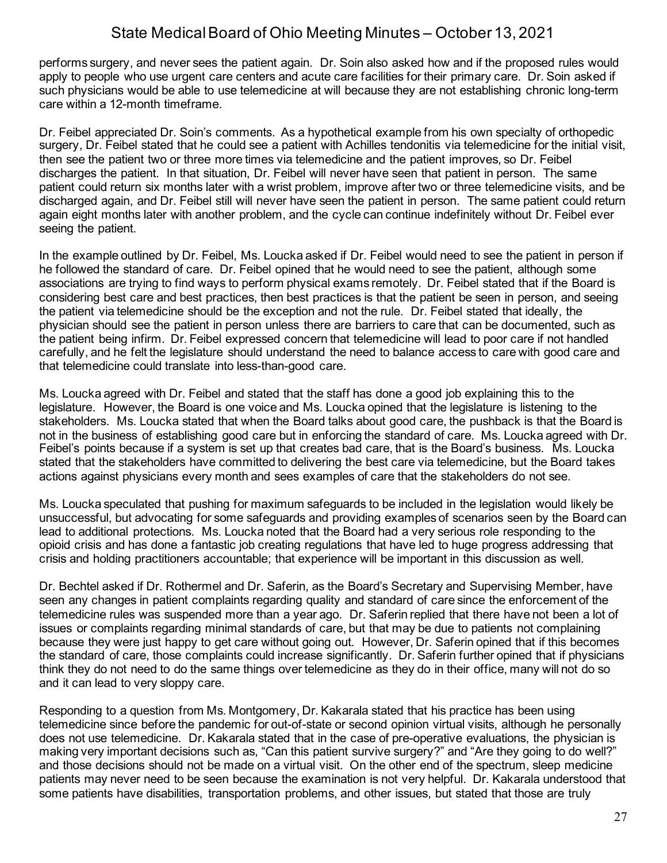performs surgery, and never sees the patient again. Dr. Soin also asked how and if the proposed rules would apply to people who use urgent care centers and acute care facilities for their primary care. Dr. Soin asked if such physicians would be able to use telemedicine at will because they are not establishing chronic long-term care within a 12-month timeframe.

Dr. Feibel appreciated Dr. Soin's comments. As a hypothetical example from his own specialty of orthopedic surgery, Dr. Feibel stated that he could see a patient with Achilles tendonitis via telemedicine for the initial visit, then see the patient two or three more times via telemedicine and the patient improves, so Dr. Feibel discharges the patient. In that situation, Dr. Feibel will never have seen that patient in person. The same patient could return six months later with a wrist problem, improve after two or three telemedicine visits, and be discharged again, and Dr. Feibel still will never have seen the patient in person. The same patient could return again eight months later with another problem, and the cycle can continue indefinitely without Dr. Feibel ever seeing the patient.

In the example outlined by Dr. Feibel, Ms. Loucka asked if Dr. Feibel would need to see the patient in person if he followed the standard of care. Dr. Feibel opined that he would need to see the patient, although some associations are trying to find ways to perform physical exams remotely. Dr. Feibel stated that if the Board is considering best care and best practices, then best practices is that the patient be seen in person, and seeing the patient via telemedicine should be the exception and not the rule. Dr. Feibel stated that ideally, the physician should see the patient in person unless there are barriers to care that can be documented, such as the patient being infirm. Dr. Feibel expressed concern that telemedicine will lead to poor care if not handled carefully, and he felt the legislature should understand the need to balance access to care with good care and that telemedicine could translate into less-than-good care.

Ms. Loucka agreed with Dr. Feibel and stated that the staff has done a good job explaining this to the legislature. However, the Board is one voice and Ms. Loucka opined that the legislature is listening to the stakeholders. Ms. Loucka stated that when the Board talks about good care, the pushback is that the Board is not in the business of establishing good care but in enforcing the standard of care. Ms. Loucka agreed with Dr. Feibel's points because if a system is set up that creates bad care, that is the Board's business. Ms. Loucka stated that the stakeholders have committed to delivering the best care via telemedicine, but the Board takes actions against physicians every month and sees examples of care that the stakeholders do not see.

Ms. Loucka speculated that pushing for maximum safeguards to be included in the legislation would likely be unsuccessful, but advocating for some safeguards and providing examples of scenarios seen by the Board can lead to additional protections. Ms. Loucka noted that the Board had a very serious role responding to the opioid crisis and has done a fantastic job creating regulations that have led to huge progress addressing that crisis and holding practitioners accountable; that experience will be important in this discussion as well.

Dr. Bechtel asked if Dr. Rothermel and Dr. Saferin, as the Board's Secretary and Supervising Member, have seen any changes in patient complaints regarding quality and standard of care since the enforcement of the telemedicine rules was suspended more than a year ago. Dr. Saferin replied that there have not been a lot of issues or complaints regarding minimal standards of care, but that may be due to patients not complaining because they were just happy to get care without going out. However, Dr. Saferin opined that if this becomes the standard of care, those complaints could increase significantly. Dr. Saferin further opined that if physicians think they do not need to do the same things over telemedicine as they do in their office, many will not do so and it can lead to very sloppy care.

Responding to a question from Ms. Montgomery, Dr. Kakarala stated that his practice has been using telemedicine since before the pandemic for out-of-state or second opinion virtual visits, although he personally does not use telemedicine. Dr. Kakarala stated that in the case of pre-operative evaluations, the physician is making very important decisions such as, "Can this patient survive surgery?" and "Are they going to do well?" and those decisions should not be made on a virtual visit. On the other end of the spectrum, sleep medicine patients may never need to be seen because the examination is not very helpful. Dr. Kakarala understood that some patients have disabilities, transportation problems, and other issues, but stated that those are truly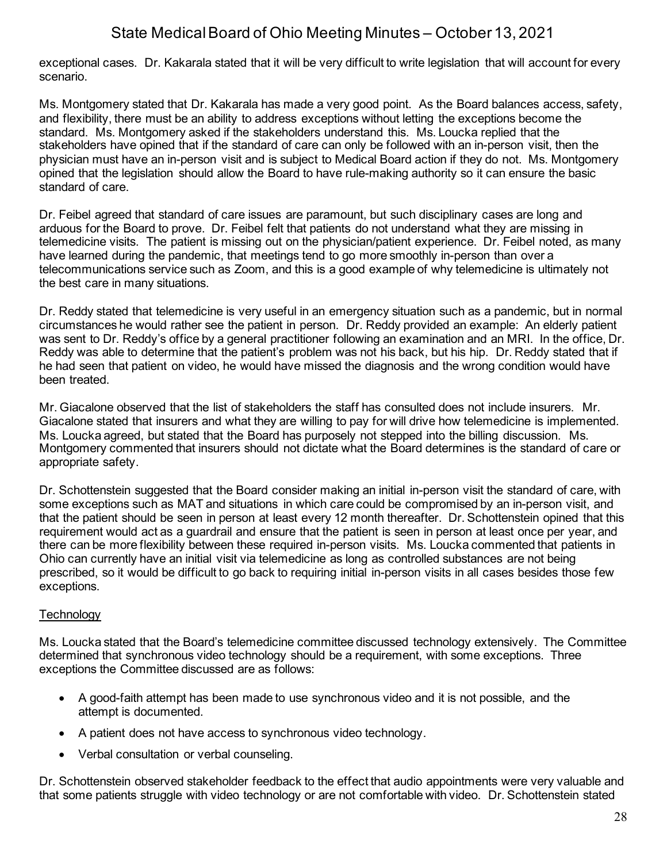exceptional cases. Dr. Kakarala stated that it will be very difficult to write legislation that will account for every scenario.

Ms. Montgomery stated that Dr. Kakarala has made a very good point. As the Board balances access, safety, and flexibility, there must be an ability to address exceptions without letting the exceptions become the standard. Ms. Montgomery asked if the stakeholders understand this. Ms. Loucka replied that the stakeholders have opined that if the standard of care can only be followed with an in-person visit, then the physician must have an in-person visit and is subject to Medical Board action if they do not. Ms. Montgomery opined that the legislation should allow the Board to have rule-making authority so it can ensure the basic standard of care.

Dr. Feibel agreed that standard of care issues are paramount, but such disciplinary cases are long and arduous for the Board to prove. Dr. Feibel felt that patients do not understand what they are missing in telemedicine visits. The patient is missing out on the physician/patient experience. Dr. Feibel noted, as many have learned during the pandemic, that meetings tend to go more smoothly in-person than over a telecommunications service such as Zoom, and this is a good example of why telemedicine is ultimately not the best care in many situations.

Dr. Reddy stated that telemedicine is very useful in an emergency situation such as a pandemic, but in normal circumstances he would rather see the patient in person. Dr. Reddy provided an example: An elderly patient was sent to Dr. Reddy's office by a general practitioner following an examination and an MRI. In the office, Dr. Reddy was able to determine that the patient's problem was not his back, but his hip. Dr. Reddy stated that if he had seen that patient on video, he would have missed the diagnosis and the wrong condition would have been treated.

Mr. Giacalone observed that the list of stakeholders the staff has consulted does not include insurers. Mr. Giacalone stated that insurers and what they are willing to pay for will drive how telemedicine is implemented. Ms. Loucka agreed, but stated that the Board has purposely not stepped into the billing discussion. Ms. Montgomery commented that insurers should not dictate what the Board determines is the standard of care or appropriate safety.

Dr. Schottenstein suggested that the Board consider making an initial in-person visit the standard of care, with some exceptions such as MAT and situations in which care could be compromised by an in-person visit, and that the patient should be seen in person at least every 12 month thereafter. Dr. Schottenstein opined that this requirement would act as a guardrail and ensure that the patient is seen in person at least once per year, and there can be more flexibility between these required in-person visits. Ms. Loucka commented that patients in Ohio can currently have an initial visit via telemedicine as long as controlled substances are not being prescribed, so it would be difficult to go back to requiring initial in-person visits in all cases besides those few exceptions.

## **Technology**

Ms. Loucka stated that the Board's telemedicine committee discussed technology extensively. The Committee determined that synchronous video technology should be a requirement, with some exceptions. Three exceptions the Committee discussed are as follows:

- A good-faith attempt has been made to use synchronous video and it is not possible, and the attempt is documented.
- A patient does not have access to synchronous video technology.
- Verbal consultation or verbal counseling.

Dr. Schottenstein observed stakeholder feedback to the effect that audio appointments were very valuable and that some patients struggle with video technology or are not comfortable with video. Dr. Schottenstein stated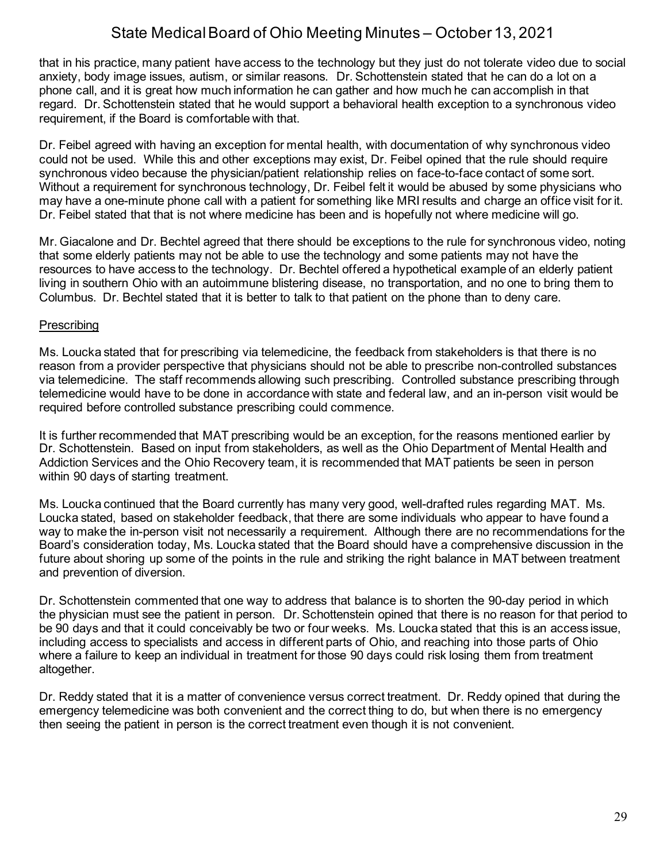that in his practice, many patient have access to the technology but they just do not tolerate video due to social anxiety, body image issues, autism, or similar reasons. Dr. Schottenstein stated that he can do a lot on a phone call, and it is great how much information he can gather and how much he can accomplish in that regard. Dr. Schottenstein stated that he would support a behavioral health exception to a synchronous video requirement, if the Board is comfortable with that.

Dr. Feibel agreed with having an exception for mental health, with documentation of why synchronous video could not be used. While this and other exceptions may exist, Dr. Feibel opined that the rule should require synchronous video because the physician/patient relationship relies on face-to-face contact of some sort. Without a requirement for synchronous technology, Dr. Feibel felt it would be abused by some physicians who may have a one-minute phone call with a patient for something like MRI results and charge an office visit for it. Dr. Feibel stated that that is not where medicine has been and is hopefully not where medicine will go.

Mr. Giacalone and Dr. Bechtel agreed that there should be exceptions to the rule for synchronous video, noting that some elderly patients may not be able to use the technology and some patients may not have the resources to have access to the technology. Dr. Bechtel offered a hypothetical example of an elderly patient living in southern Ohio with an autoimmune blistering disease, no transportation, and no one to bring them to Columbus. Dr. Bechtel stated that it is better to talk to that patient on the phone than to deny care.

### **Prescribing**

Ms. Loucka stated that for prescribing via telemedicine, the feedback from stakeholders is that there is no reason from a provider perspective that physicians should not be able to prescribe non-controlled substances via telemedicine. The staff recommends allowing such prescribing. Controlled substance prescribing through telemedicine would have to be done in accordance with state and federal law, and an in-person visit would be required before controlled substance prescribing could commence.

It is further recommended that MAT prescribing would be an exception, for the reasons mentioned earlier by Dr. Schottenstein. Based on input from stakeholders, as well as the Ohio Department of Mental Health and Addiction Services and the Ohio Recovery team, it is recommended that MAT patients be seen in person within 90 days of starting treatment.

Ms. Loucka continued that the Board currently has many very good, well-drafted rules regarding MAT. Ms. Loucka stated, based on stakeholder feedback, that there are some individuals who appear to have found a way to make the in-person visit not necessarily a requirement. Although there are no recommendations for the Board's consideration today, Ms. Loucka stated that the Board should have a comprehensive discussion in the future about shoring up some of the points in the rule and striking the right balance in MAT between treatment and prevention of diversion.

Dr. Schottenstein commented that one way to address that balance is to shorten the 90-day period in which the physician must see the patient in person. Dr. Schottenstein opined that there is no reason for that period to be 90 days and that it could conceivably be two or four weeks. Ms. Loucka stated that this is an access issue, including access to specialists and access in different parts of Ohio, and reaching into those parts of Ohio where a failure to keep an individual in treatment for those 90 days could risk losing them from treatment altogether.

Dr. Reddy stated that it is a matter of convenience versus correct treatment. Dr. Reddy opined that during the emergency telemedicine was both convenient and the correct thing to do, but when there is no emergency then seeing the patient in person is the correct treatment even though it is not convenient.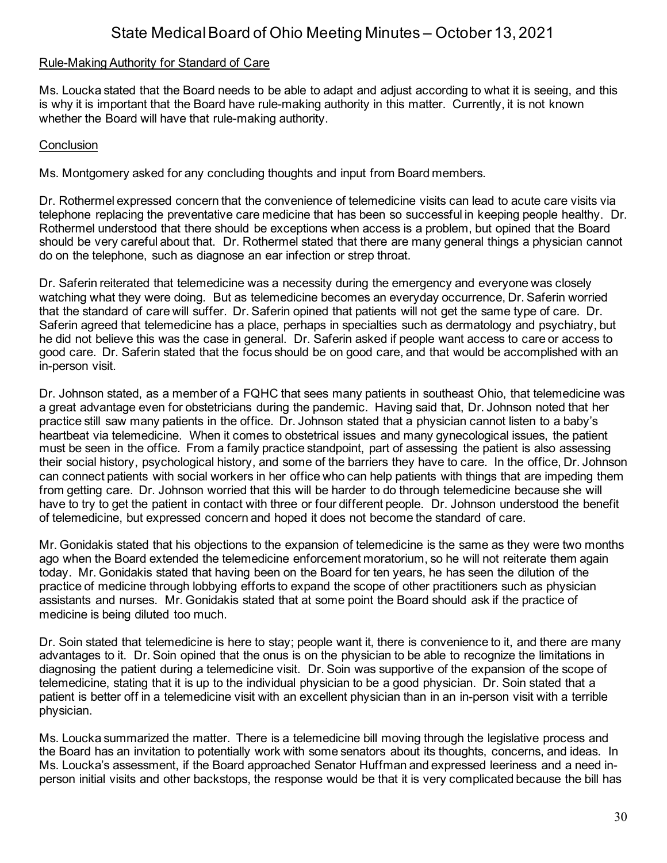### Rule-Making Authority for Standard of Care

Ms. Loucka stated that the Board needs to be able to adapt and adjust according to what it is seeing, and this is why it is important that the Board have rule-making authority in this matter. Currently, it is not known whether the Board will have that rule-making authority.

### **Conclusion**

Ms. Montgomery asked for any concluding thoughts and input from Board members.

Dr. Rothermel expressed concern that the convenience of telemedicine visits can lead to acute care visits via telephone replacing the preventative care medicine that has been so successful in keeping people healthy. Dr. Rothermel understood that there should be exceptions when access is a problem, but opined that the Board should be very careful about that. Dr. Rothermel stated that there are many general things a physician cannot do on the telephone, such as diagnose an ear infection or strep throat.

Dr. Saferin reiterated that telemedicine was a necessity during the emergency and everyone was closely watching what they were doing. But as telemedicine becomes an everyday occurrence, Dr. Saferin worried that the standard of care will suffer. Dr. Saferin opined that patients will not get the same type of care. Dr. Saferin agreed that telemedicine has a place, perhaps in specialties such as dermatology and psychiatry, but he did not believe this was the case in general. Dr. Saferin asked if people want access to care or access to good care. Dr. Saferin stated that the focus should be on good care, and that would be accomplished with an in-person visit.

Dr. Johnson stated, as a member of a FQHC that sees many patients in southeast Ohio, that telemedicine was a great advantage even for obstetricians during the pandemic. Having said that, Dr. Johnson noted that her practice still saw many patients in the office. Dr. Johnson stated that a physician cannot listen to a baby's heartbeat via telemedicine. When it comes to obstetrical issues and many gynecological issues, the patient must be seen in the office. From a family practice standpoint, part of assessing the patient is also assessing their social history, psychological history, and some of the barriers they have to care. In the office, Dr. Johnson can connect patients with social workers in her office who can help patients with things that are impeding them from getting care. Dr. Johnson worried that this will be harder to do through telemedicine because she will have to try to get the patient in contact with three or four different people. Dr. Johnson understood the benefit of telemedicine, but expressed concern and hoped it does not become the standard of care.

Mr. Gonidakis stated that his objections to the expansion of telemedicine is the same as they were two months ago when the Board extended the telemedicine enforcement moratorium, so he will not reiterate them again today. Mr. Gonidakis stated that having been on the Board for ten years, he has seen the dilution of the practice of medicine through lobbying efforts to expand the scope of other practitioners such as physician assistants and nurses. Mr. Gonidakis stated that at some point the Board should ask if the practice of medicine is being diluted too much.

Dr. Soin stated that telemedicine is here to stay; people want it, there is convenience to it, and there are many advantages to it. Dr. Soin opined that the onus is on the physician to be able to recognize the limitations in diagnosing the patient during a telemedicine visit. Dr. Soin was supportive of the expansion of the scope of telemedicine, stating that it is up to the individual physician to be a good physician. Dr. Soin stated that a patient is better off in a telemedicine visit with an excellent physician than in an in-person visit with a terrible physician.

Ms. Loucka summarized the matter. There is a telemedicine bill moving through the legislative process and the Board has an invitation to potentially work with some senators about its thoughts, concerns, and ideas. In Ms. Loucka's assessment, if the Board approached Senator Huffman and expressed leeriness and a need inperson initial visits and other backstops, the response would be that it is very complicated because the bill has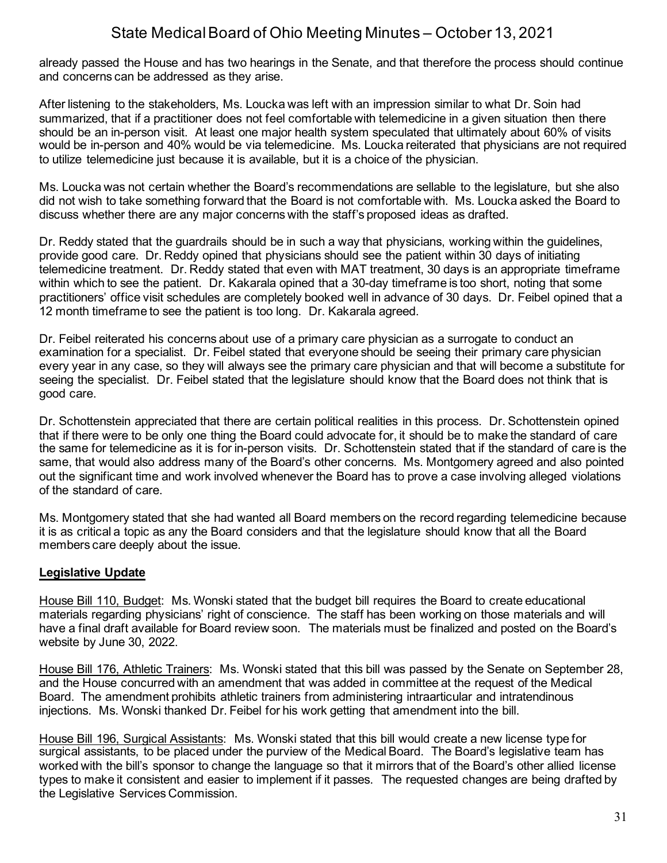already passed the House and has two hearings in the Senate, and that therefore the process should continue and concerns can be addressed as they arise.

After listening to the stakeholders, Ms. Loucka was left with an impression similar to what Dr. Soin had summarized, that if a practitioner does not feel comfortable with telemedicine in a given situation then there should be an in-person visit. At least one major health system speculated that ultimately about 60% of visits would be in-person and 40% would be via telemedicine. Ms. Loucka reiterated that physicians are not required to utilize telemedicine just because it is available, but it is a choice of the physician.

Ms. Loucka was not certain whether the Board's recommendations are sellable to the legislature, but she also did not wish to take something forward that the Board is not comfortable with. Ms. Loucka asked the Board to discuss whether there are any major concerns with the staff's proposed ideas as drafted.

Dr. Reddy stated that the guardrails should be in such a way that physicians, working within the guidelines, provide good care. Dr. Reddy opined that physicians should see the patient within 30 days of initiating telemedicine treatment. Dr. Reddy stated that even with MAT treatment, 30 days is an appropriate timeframe within which to see the patient. Dr. Kakarala opined that a 30-day timeframe is too short, noting that some practitioners' office visit schedules are completely booked well in advance of 30 days. Dr. Feibel opined that a 12 month timeframe to see the patient is too long. Dr. Kakarala agreed.

Dr. Feibel reiterated his concerns about use of a primary care physician as a surrogate to conduct an examination for a specialist. Dr. Feibel stated that everyone should be seeing their primary care physician every year in any case, so they will always see the primary care physician and that will become a substitute for seeing the specialist. Dr. Feibel stated that the legislature should know that the Board does not think that is good care.

Dr. Schottenstein appreciated that there are certain political realities in this process. Dr. Schottenstein opined that if there were to be only one thing the Board could advocate for, it should be to make the standard of care the same for telemedicine as it is for in-person visits. Dr. Schottenstein stated that if the standard of care is the same, that would also address many of the Board's other concerns. Ms. Montgomery agreed and also pointed out the significant time and work involved whenever the Board has to prove a case involving alleged violations of the standard of care.

Ms. Montgomery stated that she had wanted all Board members on the record regarding telemedicine because it is as critical a topic as any the Board considers and that the legislature should know that all the Board members care deeply about the issue.

## **Legislative Update**

House Bill 110, Budget: Ms. Wonski stated that the budget bill requires the Board to create educational materials regarding physicians' right of conscience. The staff has been working on those materials and will have a final draft available for Board review soon. The materials must be finalized and posted on the Board's website by June 30, 2022.

House Bill 176, Athletic Trainers: Ms. Wonski stated that this bill was passed by the Senate on September 28, and the House concurred with an amendment that was added in committee at the request of the Medical Board. The amendment prohibits athletic trainers from administering intraarticular and intratendinous injections. Ms. Wonski thanked Dr. Feibel for his work getting that amendment into the bill.

House Bill 196, Surgical Assistants: Ms. Wonski stated that this bill would create a new license type for surgical assistants, to be placed under the purview of the Medical Board. The Board's legislative team has worked with the bill's sponsor to change the language so that it mirrors that of the Board's other allied license types to make it consistent and easier to implement if it passes. The requested changes are being drafted by the Legislative Services Commission.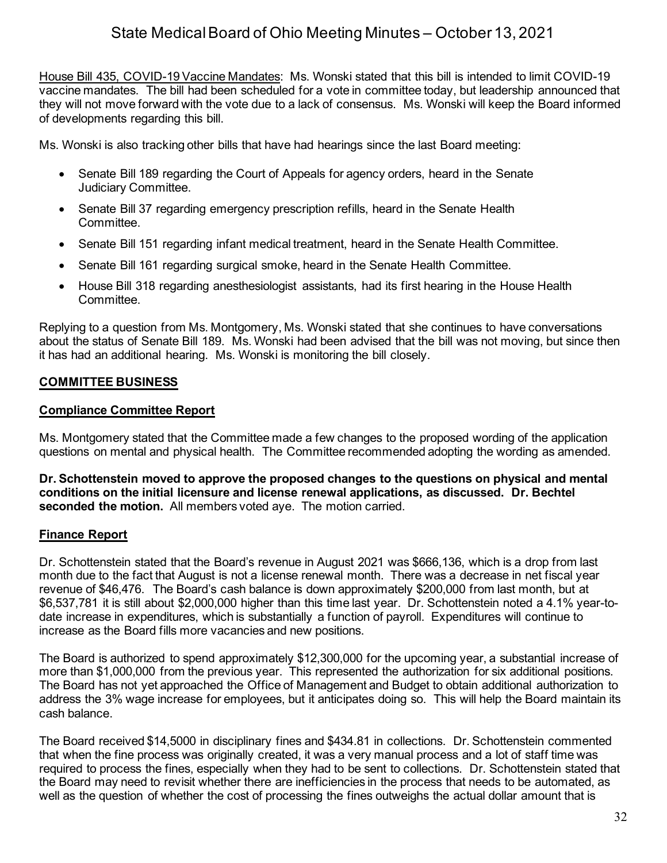House Bill 435, COVID-19 Vaccine Mandates: Ms. Wonski stated that this bill is intended to limit COVID-19 vaccine mandates. The bill had been scheduled for a vote in committee today, but leadership announced that they will not move forward with the vote due to a lack of consensus. Ms. Wonski will keep the Board informed of developments regarding this bill.

Ms. Wonski is also tracking other bills that have had hearings since the last Board meeting:

- Senate Bill 189 regarding the Court of Appeals for agency orders, heard in the Senate Judiciary Committee.
- Senate Bill 37 regarding emergency prescription refills, heard in the Senate Health Committee.
- Senate Bill 151 regarding infant medical treatment, heard in the Senate Health Committee.
- Senate Bill 161 regarding surgical smoke, heard in the Senate Health Committee.
- House Bill 318 regarding anesthesiologist assistants, had its first hearing in the House Health Committee.

Replying to a question from Ms. Montgomery, Ms. Wonski stated that she continues to have conversations about the status of Senate Bill 189. Ms. Wonski had been advised that the bill was not moving, but since then it has had an additional hearing. Ms. Wonski is monitoring the bill closely.

## **COMMITTEE BUSINESS**

### **Compliance Committee Report**

Ms. Montgomery stated that the Committee made a few changes to the proposed wording of the application questions on mental and physical health. The Committee recommended adopting the wording as amended.

**Dr. Schottenstein moved to approve the proposed changes to the questions on physical and mental conditions on the initial licensure and license renewal applications, as discussed. Dr. Bechtel seconded the motion.** All members voted aye. The motion carried.

## **Finance Report**

Dr. Schottenstein stated that the Board's revenue in August 2021 was \$666,136, which is a drop from last month due to the fact that August is not a license renewal month. There was a decrease in net fiscal year revenue of \$46,476. The Board's cash balance is down approximately \$200,000 from last month, but at \$6,537,781 it is still about \$2,000,000 higher than this time last year. Dr. Schottenstein noted a 4.1% year-todate increase in expenditures, which is substantially a function of payroll. Expenditures will continue to increase as the Board fills more vacancies and new positions.

The Board is authorized to spend approximately \$12,300,000 for the upcoming year, a substantial increase of more than \$1,000,000 from the previous year. This represented the authorization for six additional positions. The Board has not yet approached the Office of Management and Budget to obtain additional authorization to address the 3% wage increase for employees, but it anticipates doing so. This will help the Board maintain its cash balance.

The Board received \$14,5000 in disciplinary fines and \$434.81 in collections. Dr. Schottenstein commented that when the fine process was originally created, it was a very manual process and a lot of staff time was required to process the fines, especially when they had to be sent to collections. Dr. Schottenstein stated that the Board may need to revisit whether there are inefficiencies in the process that needs to be automated, as well as the question of whether the cost of processing the fines outweighs the actual dollar amount that is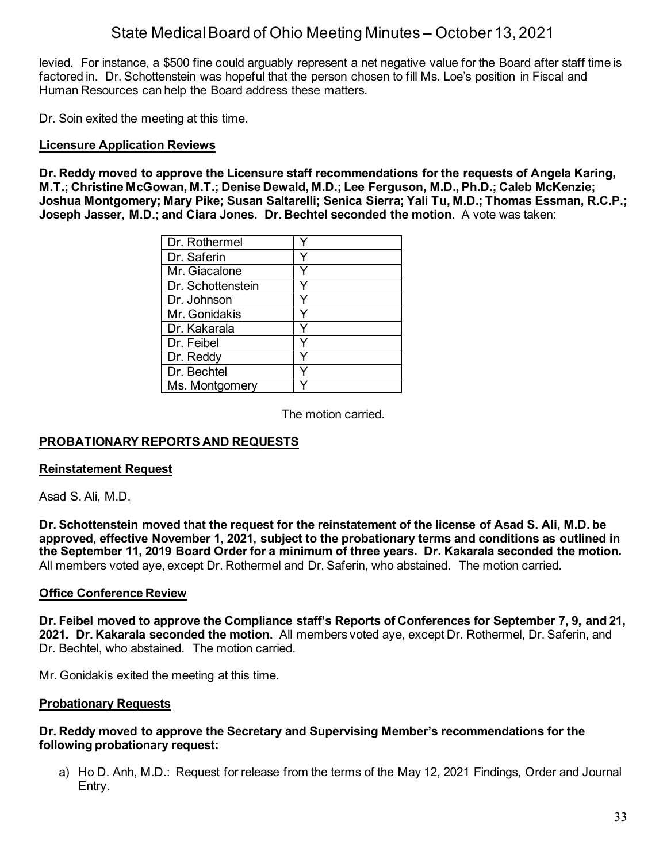levied. For instance, a \$500 fine could arguably represent a net negative value for the Board after staff time is factored in. Dr. Schottenstein was hopeful that the person chosen to fill Ms. Loe's position in Fiscal and Human Resources can help the Board address these matters.

Dr. Soin exited the meeting at this time.

### **Licensure Application Reviews**

**Dr. Reddy moved to approve the Licensure staff recommendations for the requests of Angela Karing, M.T.; Christine McGowan, M.T.; Denise Dewald, M.D.; Lee Ferguson, M.D., Ph.D.; Caleb McKenzie; Joshua Montgomery; Mary Pike; Susan Saltarelli; Senica Sierra; Yali Tu, M.D.; Thomas Essman, R.C.P.; Joseph Jasser, M.D.; and Ciara Jones. Dr. Bechtel seconded the motion.** A vote was taken:

| Dr. Rothermel     |  |
|-------------------|--|
| Dr. Saferin       |  |
| Mr. Giacalone     |  |
| Dr. Schottenstein |  |
| Dr. Johnson       |  |
| Mr. Gonidakis     |  |
| Dr. Kakarala      |  |
| Dr. Feibel        |  |
| Dr. Reddy         |  |
| Dr. Bechtel       |  |
| Ms. Montgomery    |  |

The motion carried.

## **PROBATIONARY REPORTS AND REQUESTS**

### **Reinstatement Request**

### Asad S. Ali, M.D.

**Dr. Schottenstein moved that the request for the reinstatement of the license of Asad S. Ali, M.D. be approved, effective November 1, 2021, subject to the probationary terms and conditions as outlined in the September 11, 2019 Board Order for a minimum of three years. Dr. Kakarala seconded the motion.**  All members voted aye, except Dr. Rothermel and Dr. Saferin, who abstained. The motion carried.

### **Office Conference Review**

**Dr. Feibel moved to approve the Compliance staff's Reports of Conferences for September 7, 9, and 21, 2021. Dr. Kakarala seconded the motion.** All members voted aye, except Dr. Rothermel, Dr. Saferin, and Dr. Bechtel, who abstained. The motion carried.

Mr. Gonidakis exited the meeting at this time.

### **Probationary Requests**

### **Dr. Reddy moved to approve the Secretary and Supervising Member's recommendations for the following probationary request:**

a) Ho D. Anh, M.D.: Request for release from the terms of the May 12, 2021 Findings, Order and Journal Entry.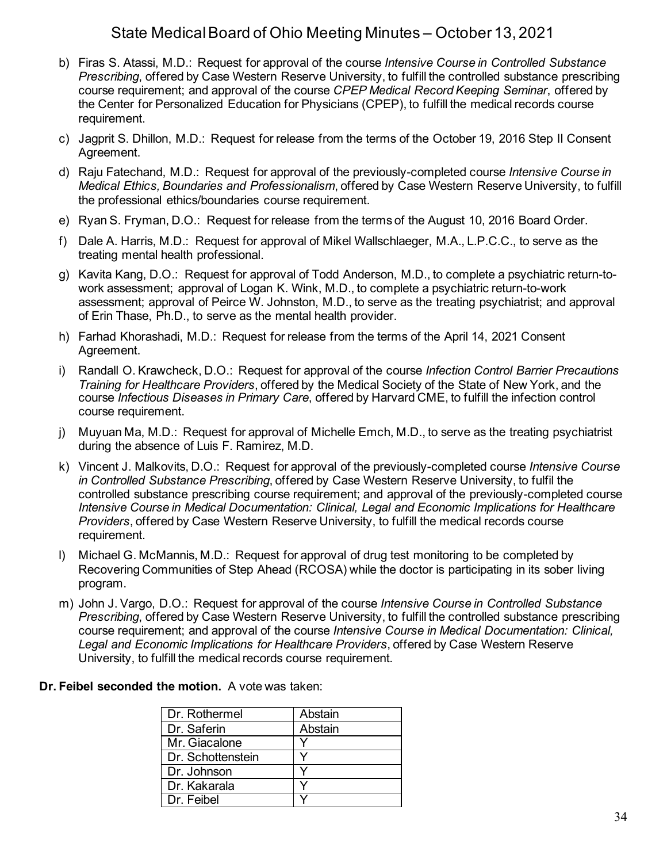- b) Firas S. Atassi, M.D.: Request for approval of the course *Intensive Course in Controlled Substance Prescribing*, offered by Case Western Reserve University, to fulfill the controlled substance prescribing course requirement; and approval of the course *CPEP Medical Record Keeping Seminar*, offered by the Center for Personalized Education for Physicians (CPEP), to fulfill the medical records course requirement.
- c) Jagprit S. Dhillon, M.D.: Request for release from the terms of the October 19, 2016 Step II Consent Agreement.
- d) Raju Fatechand, M.D.: Request for approval of the previously-completed course *Intensive Course in Medical Ethics, Boundaries and Professionalism*, offered by Case Western Reserve University, to fulfill the professional ethics/boundaries course requirement.
- e) Ryan S. Fryman, D.O.: Request for release from the terms of the August 10, 2016 Board Order.
- f) Dale A. Harris, M.D.: Request for approval of Mikel Wallschlaeger, M.A., L.P.C.C., to serve as the treating mental health professional.
- g) Kavita Kang, D.O.: Request for approval of Todd Anderson, M.D., to complete a psychiatric return-towork assessment; approval of Logan K. Wink, M.D., to complete a psychiatric return-to-work assessment; approval of Peirce W. Johnston, M.D., to serve as the treating psychiatrist; and approval of Erin Thase, Ph.D., to serve as the mental health provider.
- h) Farhad Khorashadi, M.D.: Request for release from the terms of the April 14, 2021 Consent Agreement.
- i) Randall O. Krawcheck, D.O.: Request for approval of the course *Infection Control Barrier Precautions Training for Healthcare Providers*, offered by the Medical Society of the State of New York, and the course *Infectious Diseases in Primary Care*, offered by Harvard CME, to fulfill the infection control course requirement.
- j) Muyuan Ma, M.D.: Request for approval of Michelle Emch, M.D., to serve as the treating psychiatrist during the absence of Luis F. Ramirez, M.D.
- k) Vincent J. Malkovits, D.O.: Request for approval of the previously-completed course *Intensive Course in Controlled Substance Prescribing*, offered by Case Western Reserve University, to fulfil the controlled substance prescribing course requirement; and approval of the previously-completed course *Intensive Course in Medical Documentation: Clinical, Legal and Economic Implications for Healthcare Providers*, offered by Case Western Reserve University, to fulfill the medical records course requirement.
- l) Michael G. McMannis, M.D.: Request for approval of drug test monitoring to be completed by Recovering Communities of Step Ahead (RCOSA) while the doctor is participating in its sober living program.
- m) John J. Vargo, D.O.: Request for approval of the course *Intensive Course in Controlled Substance Prescribing*, offered by Case Western Reserve University, to fulfill the controlled substance prescribing course requirement; and approval of the course *Intensive Course in Medical Documentation: Clinical, Legal and Economic Implications for Healthcare Providers*, offered by Case Western Reserve University, to fulfill the medical records course requirement.

## **Dr. Feibel seconded the motion.** A vote was taken:

| Dr. Rothermel     | Abstain |
|-------------------|---------|
| Dr. Saferin       | Abstain |
| Mr. Giacalone     |         |
| Dr. Schottenstein |         |
| Dr. Johnson       |         |
| Dr. Kakarala      |         |
| Dr. Feibel        |         |